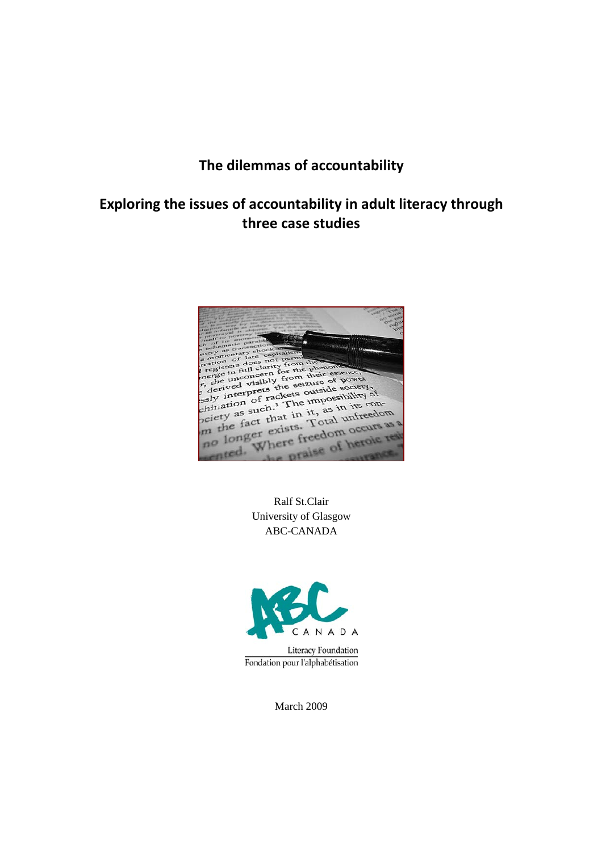# The dilemmas of accountability

## Exploring the issues of accountability in adult literacy through three case studies



Ralf St.Clair University of Glasgow ABC-CANADA



**Literacy Foundation** Fondation pour l'alphabétisation

March 2009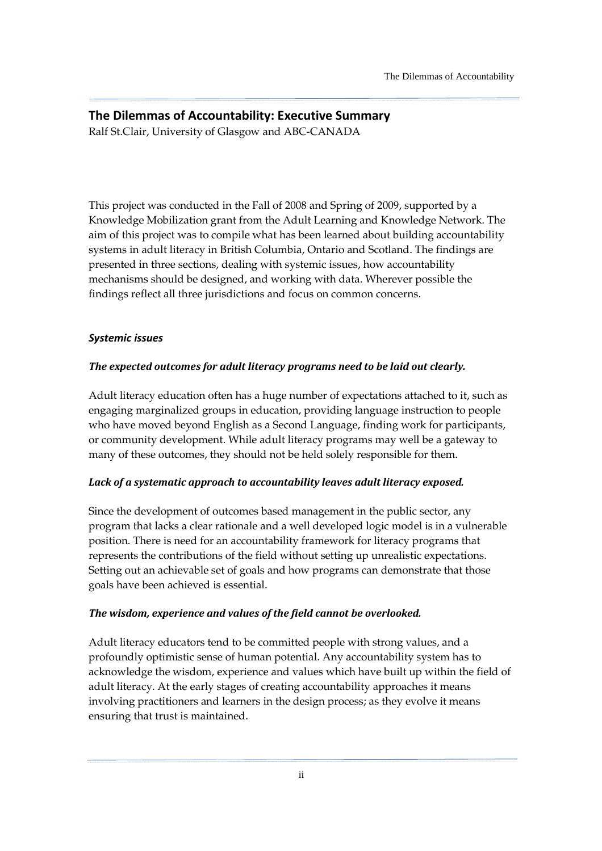# The Dilemmas of Accountability: Executive Summary

Ralf St.Clair, University of Glasgow and ABC-CANADA

This project was conducted in the Fall of 2008 and Spring of 2009, supported by a Knowledge Mobilization grant from the Adult Learning and Knowledge Network. The aim of this project was to compile what has been learned about building accountability systems in adult literacy in British Columbia, Ontario and Scotland. The findings are presented in three sections, dealing with systemic issues, how accountability mechanisms should be designed, and working with data. Wherever possible the findings reflect all three jurisdictions and focus on common concerns.

### Systemic issues

### The expected outcomes for adult literacy programs need to be laid out clearly.

Adult literacy education often has a huge number of expectations attached to it, such as engaging marginalized groups in education, providing language instruction to people who have moved beyond English as a Second Language, finding work for participants, or community development. While adult literacy programs may well be a gateway to many of these outcomes, they should not be held solely responsible for them.

### Lack of a systematic approach to accountability leaves adult literacy exposed.

Since the development of outcomes based management in the public sector, any program that lacks a clear rationale and a well developed logic model is in a vulnerable position. There is need for an accountability framework for literacy programs that represents the contributions of the field without setting up unrealistic expectations. Setting out an achievable set of goals and how programs can demonstrate that those goals have been achieved is essential.

### The wisdom, experience and values of the field cannot be overlooked.

Adult literacy educators tend to be committed people with strong values, and a profoundly optimistic sense of human potential. Any accountability system has to acknowledge the wisdom, experience and values which have built up within the field of adult literacy. At the early stages of creating accountability approaches it means involving practitioners and learners in the design process; as they evolve it means ensuring that trust is maintained.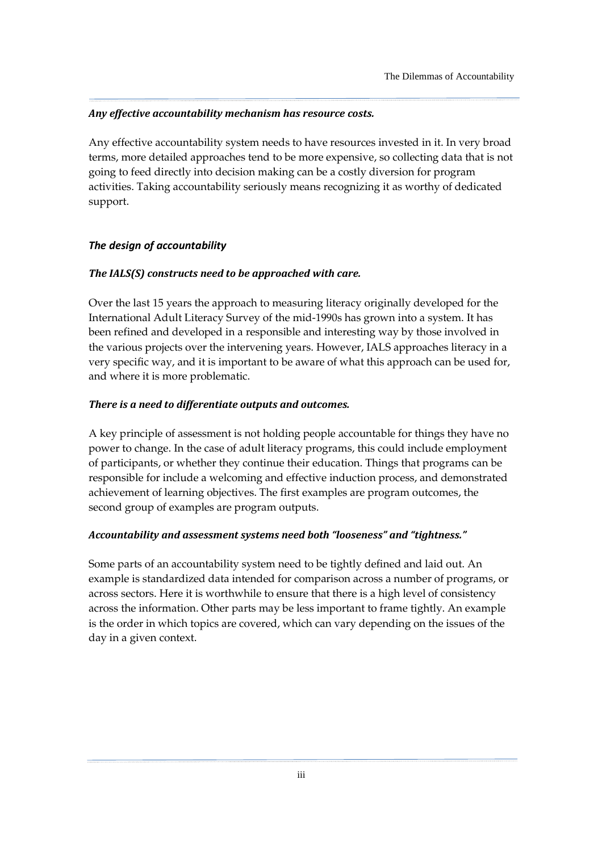### Any effective accountability mechanism has resource costs.

Any effective accountability system needs to have resources invested in it. In very broad terms, more detailed approaches tend to be more expensive, so collecting data that is not going to feed directly into decision making can be a costly diversion for program activities. Taking accountability seriously means recognizing it as worthy of dedicated support.

### The design of accountability

### The IALS(S) constructs need to be approached with care.

Over the last 15 years the approach to measuring literacy originally developed for the International Adult Literacy Survey of the mid-1990s has grown into a system. It has been refined and developed in a responsible and interesting way by those involved in the various projects over the intervening years. However, IALS approaches literacy in a very specific way, and it is important to be aware of what this approach can be used for, and where it is more problematic.

### There is a need to differentiate outputs and outcomes.

A key principle of assessment is not holding people accountable for things they have no power to change. In the case of adult literacy programs, this could include employment of participants, or whether they continue their education. Things that programs can be responsible for include a welcoming and effective induction process, and demonstrated achievement of learning objectives. The first examples are program outcomes, the second group of examples are program outputs.

### Accountability and assessment systems need both "looseness" and "tightness."

Some parts of an accountability system need to be tightly defined and laid out. An example is standardized data intended for comparison across a number of programs, or across sectors. Here it is worthwhile to ensure that there is a high level of consistency across the information. Other parts may be less important to frame tightly. An example is the order in which topics are covered, which can vary depending on the issues of the day in a given context.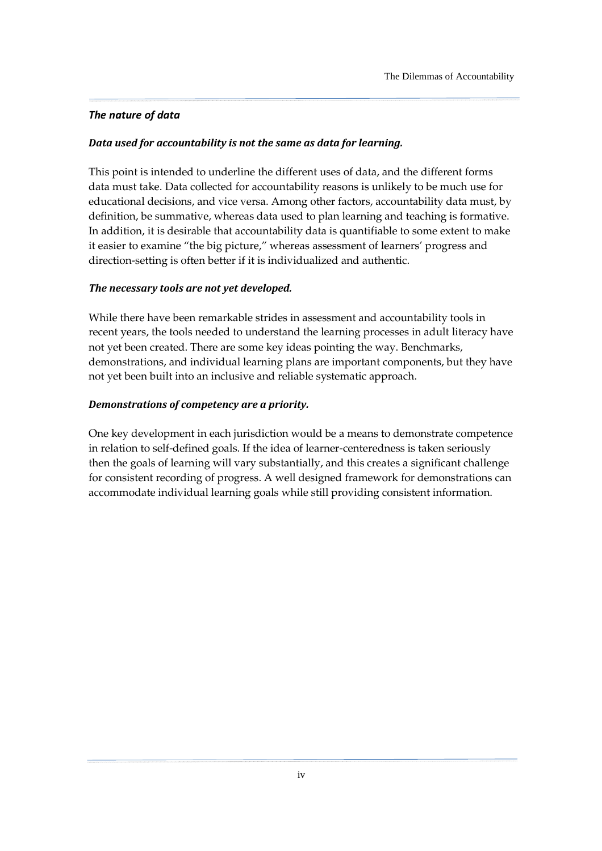### The nature of data

### Data used for accountability is not the same as data for learning.

This point is intended to underline the different uses of data, and the different forms data must take. Data collected for accountability reasons is unlikely to be much use for educational decisions, and vice versa. Among other factors, accountability data must, by definition, be summative, whereas data used to plan learning and teaching is formative. In addition, it is desirable that accountability data is quantifiable to some extent to make it easier to examine "the big picture," whereas assessment of learners' progress and direction-setting is often better if it is individualized and authentic.

### The necessary tools are not yet developed.

While there have been remarkable strides in assessment and accountability tools in recent years, the tools needed to understand the learning processes in adult literacy have not yet been created. There are some key ideas pointing the way. Benchmarks, demonstrations, and individual learning plans are important components, but they have not yet been built into an inclusive and reliable systematic approach.

### Demonstrations of competency are a priority.

One key development in each jurisdiction would be a means to demonstrate competence in relation to self-defined goals. If the idea of learner-centeredness is taken seriously then the goals of learning will vary substantially, and this creates a significant challenge for consistent recording of progress. A well designed framework for demonstrations can accommodate individual learning goals while still providing consistent information.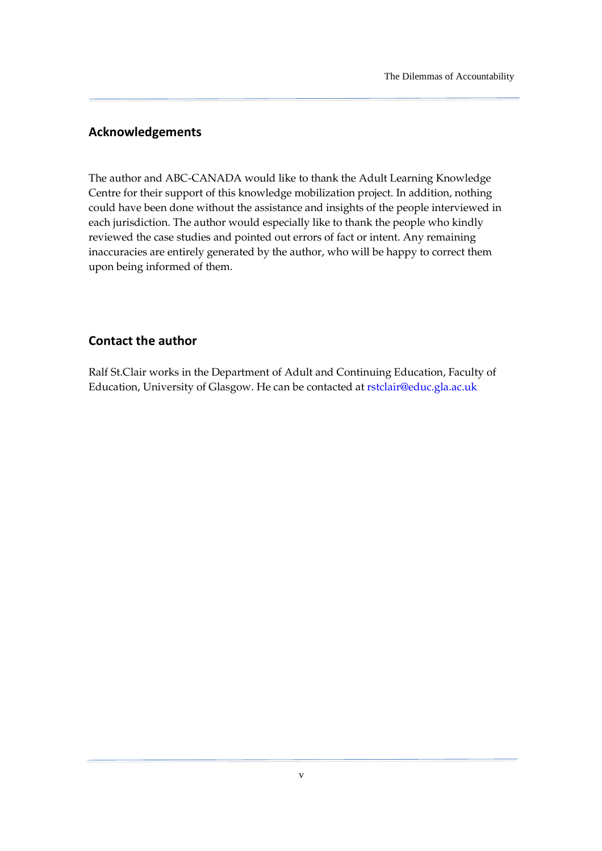### Acknowledgements

The author and ABC-CANADA would like to thank the Adult Learning Knowledge Centre for their support of this knowledge mobilization project. In addition, nothing could have been done without the assistance and insights of the people interviewed in each jurisdiction. The author would especially like to thank the people who kindly reviewed the case studies and pointed out errors of fact or intent. Any remaining inaccuracies are entirely generated by the author, who will be happy to correct them upon being informed of them.

### Contact the author

Ralf St.Clair works in the Department of Adult and Continuing Education, Faculty of Education, University of Glasgow. He can be contacted at rstclair@educ.gla.ac.uk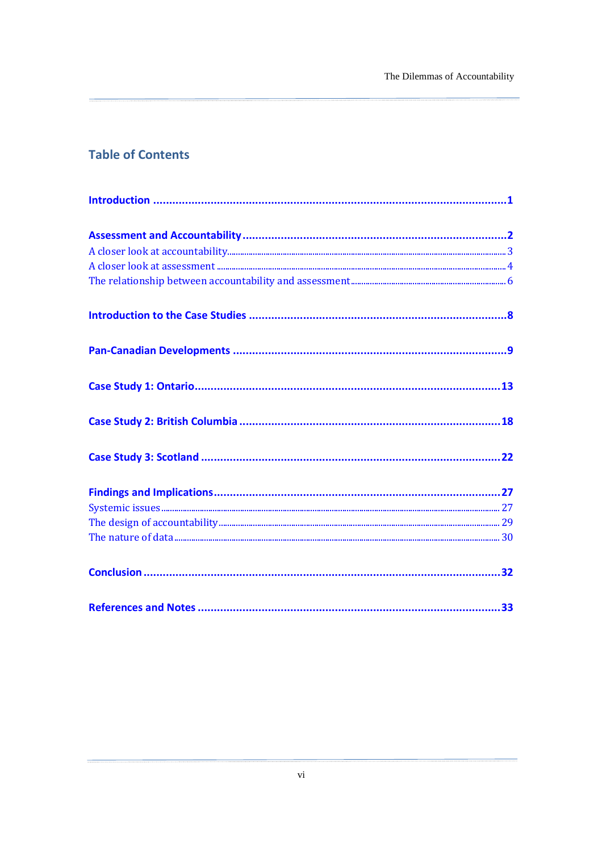# **Table of Contents**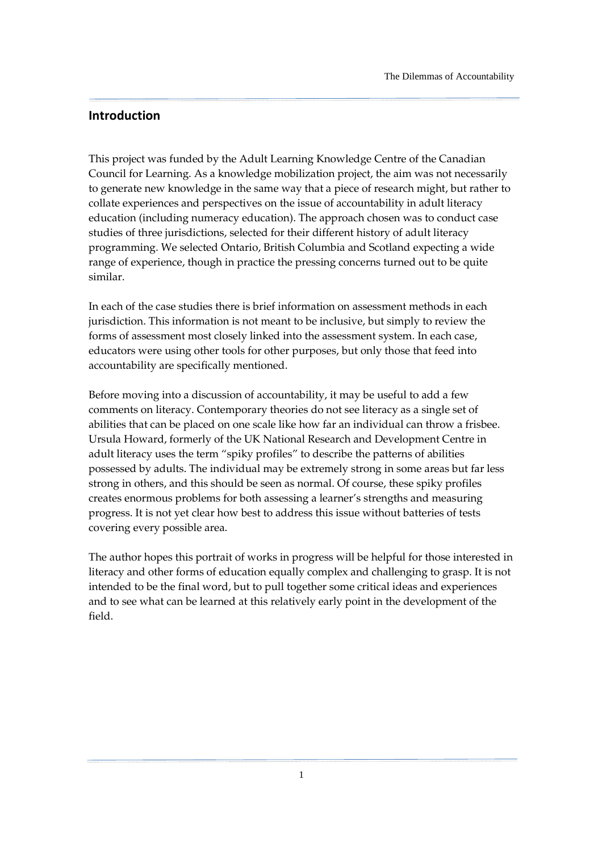### <span id="page-6-0"></span>Introduction

This project was funded by the Adult Learning Knowledge Centre of the Canadian Council for Learning. As a knowledge mobilization project, the aim was not necessarily to generate new knowledge in the same way that a piece of research might, but rather to collate experiences and perspectives on the issue of accountability in adult literacy education (including numeracy education). The approach chosen was to conduct case studies of three jurisdictions, selected for their different history of adult literacy programming. We selected Ontario, British Columbia and Scotland expecting a wide range of experience, though in practice the pressing concerns turned out to be quite similar.

In each of the case studies there is brief information on assessment methods in each jurisdiction. This information is not meant to be inclusive, but simply to review the forms of assessment most closely linked into the assessment system. In each case, educators were using other tools for other purposes, but only those that feed into accountability are specifically mentioned.

Before moving into a discussion of accountability, it may be useful to add a few comments on literacy. Contemporary theories do not see literacy as a single set of abilities that can be placed on one scale like how far an individual can throw a frisbee. Ursula Howard, formerly of the UK National Research and Development Centre in adult literacy uses the term "spiky profiles" to describe the patterns of abilities possessed by adults. The individual may be extremely strong in some areas but far less strong in others, and this should be seen as normal. Of course, these spiky profiles creates enormous problems for both assessing a learner's strengths and measuring progress. It is not yet clear how best to address this issue without batteries of tests covering every possible area.

The author hopes this portrait of works in progress will be helpful for those interested in literacy and other forms of education equally complex and challenging to grasp. It is not intended to be the final word, but to pull together some critical ideas and experiences and to see what can be learned at this relatively early point in the development of the field.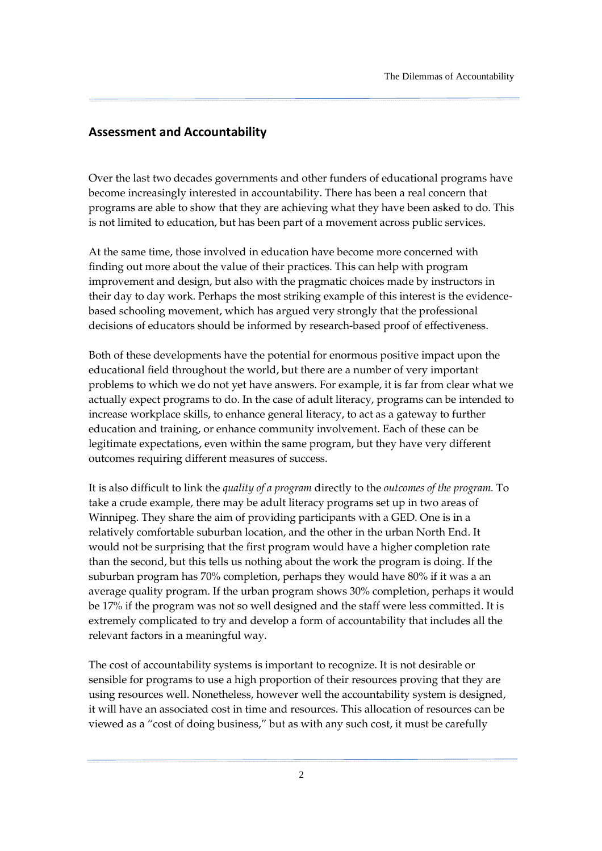### <span id="page-7-0"></span>Assessment and Accountability

Over the last two decades governments and other funders of educational programs have become increasingly interested in accountability. There has been a real concern that programs are able to show that they are achieving what they have been asked to do. This is not limited to education, but has been part of a movement across public services.

At the same time, those involved in education have become more concerned with finding out more about the value of their practices. This can help with program improvement and design, but also with the pragmatic choices made by instructors in their day to day work. Perhaps the most striking example of this interest is the evidencebased schooling movement, which has argued very strongly that the professional decisions of educators should be informed by research-based proof of effectiveness.

Both of these developments have the potential for enormous positive impact upon the educational field throughout the world, but there are a number of very important problems to which we do not yet have answers. For example, it is far from clear what we actually expect programs to do. In the case of adult literacy, programs can be intended to increase workplace skills, to enhance general literacy, to act as a gateway to further education and training, or enhance community involvement. Each of these can be legitimate expectations, even within the same program, but they have very different outcomes requiring different measures of success.

It is also difficult to link the quality of a program directly to the outcomes of the program. To take a crude example, there may be adult literacy programs set up in two areas of Winnipeg. They share the aim of providing participants with a GED. One is in a relatively comfortable suburban location, and the other in the urban North End. It would not be surprising that the first program would have a higher completion rate than the second, but this tells us nothing about the work the program is doing. If the suburban program has 70% completion, perhaps they would have 80% if it was a an average quality program. If the urban program shows 30% completion, perhaps it would be 17% if the program was not so well designed and the staff were less committed. It is extremely complicated to try and develop a form of accountability that includes all the relevant factors in a meaningful way.

The cost of accountability systems is important to recognize. It is not desirable or sensible for programs to use a high proportion of their resources proving that they are using resources well. Nonetheless, however well the accountability system is designed, it will have an associated cost in time and resources. This allocation of resources can be viewed as a "cost of doing business," but as with any such cost, it must be carefully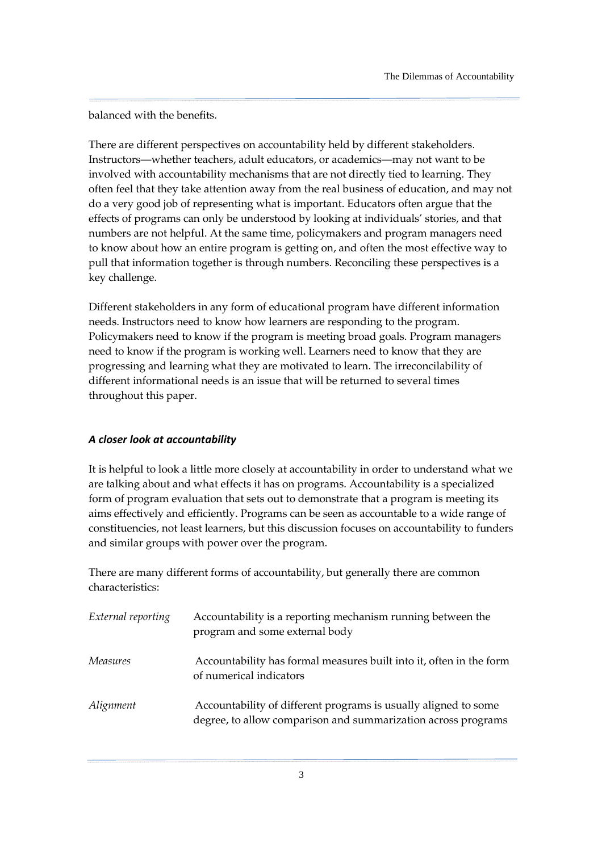<span id="page-8-0"></span>balanced with the benefits.

There are different perspectives on accountability held by different stakeholders. Instructors—whether teachers, adult educators, or academics—may not want to be involved with accountability mechanisms that are not directly tied to learning. They often feel that they take attention away from the real business of education, and may not do a very good job of representing what is important. Educators often argue that the effects of programs can only be understood by looking at individuals' stories, and that numbers are not helpful. At the same time, policymakers and program managers need to know about how an entire program is getting on, and often the most effective way to pull that information together is through numbers. Reconciling these perspectives is a key challenge.

Different stakeholders in any form of educational program have different information needs. Instructors need to know how learners are responding to the program. Policymakers need to know if the program is meeting broad goals. Program managers need to know if the program is working well. Learners need to know that they are progressing and learning what they are motivated to learn. The irreconcilability of different informational needs is an issue that will be returned to several times throughout this paper.

#### A closer look at accountability

It is helpful to look a little more closely at accountability in order to understand what we are talking about and what effects it has on programs. Accountability is a specialized form of program evaluation that sets out to demonstrate that a program is meeting its aims effectively and efficiently. Programs can be seen as accountable to a wide range of constituencies, not least learners, but this discussion focuses on accountability to funders and similar groups with power over the program.

There are many different forms of accountability, but generally there are common characteristics:

| External reporting | Accountability is a reporting mechanism running between the<br>program and some external body                                    |
|--------------------|----------------------------------------------------------------------------------------------------------------------------------|
| <i>Measures</i>    | Accountability has formal measures built into it, often in the form<br>of numerical indicators                                   |
| Alignment          | Accountability of different programs is usually aligned to some<br>degree, to allow comparison and summarization across programs |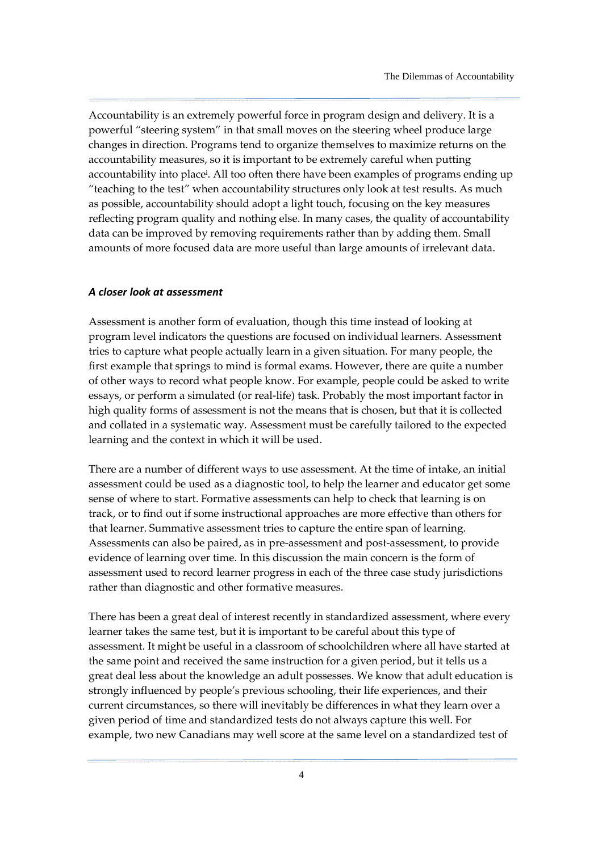<span id="page-9-0"></span>Accountability is an extremely powerful force in program design and delivery. It is a powerful "steering system" in that small moves on the steering wheel produce large changes in direction. Programs tend to organize themselves to maximize returns on the accountability measures, so it is important to be extremely careful when putting accountability into place<sup>i</sup> . All too often there have been examples of programs ending up "teaching to the test" when accountability structures only look at test results. As much as possible, accountability should adopt a light touch, focusing on the key measures reflecting program quality and nothing else. In many cases, the quality of accountability data can be improved by removing requirements rather than by adding them. Small amounts of more focused data are more useful than large amounts of irrelevant data.

#### A closer look at assessment

Assessment is another form of evaluation, though this time instead of looking at program level indicators the questions are focused on individual learners. Assessment tries to capture what people actually learn in a given situation. For many people, the first example that springs to mind is formal exams. However, there are quite a number of other ways to record what people know. For example, people could be asked to write essays, or perform a simulated (or real-life) task. Probably the most important factor in high quality forms of assessment is not the means that is chosen, but that it is collected and collated in a systematic way. Assessment must be carefully tailored to the expected learning and the context in which it will be used.

There are a number of different ways to use assessment. At the time of intake, an initial assessment could be used as a diagnostic tool, to help the learner and educator get some sense of where to start. Formative assessments can help to check that learning is on track, or to find out if some instructional approaches are more effective than others for that learner. Summative assessment tries to capture the entire span of learning. Assessments can also be paired, as in pre-assessment and post-assessment, to provide evidence of learning over time. In this discussion the main concern is the form of assessment used to record learner progress in each of the three case study jurisdictions rather than diagnostic and other formative measures.

There has been a great deal of interest recently in standardized assessment, where every learner takes the same test, but it is important to be careful about this type of assessment. It might be useful in a classroom of schoolchildren where all have started at the same point and received the same instruction for a given period, but it tells us a great deal less about the knowledge an adult possesses. We know that adult education is strongly influenced by people's previous schooling, their life experiences, and their current circumstances, so there will inevitably be differences in what they learn over a given period of time and standardized tests do not always capture this well. For example, two new Canadians may well score at the same level on a standardized test of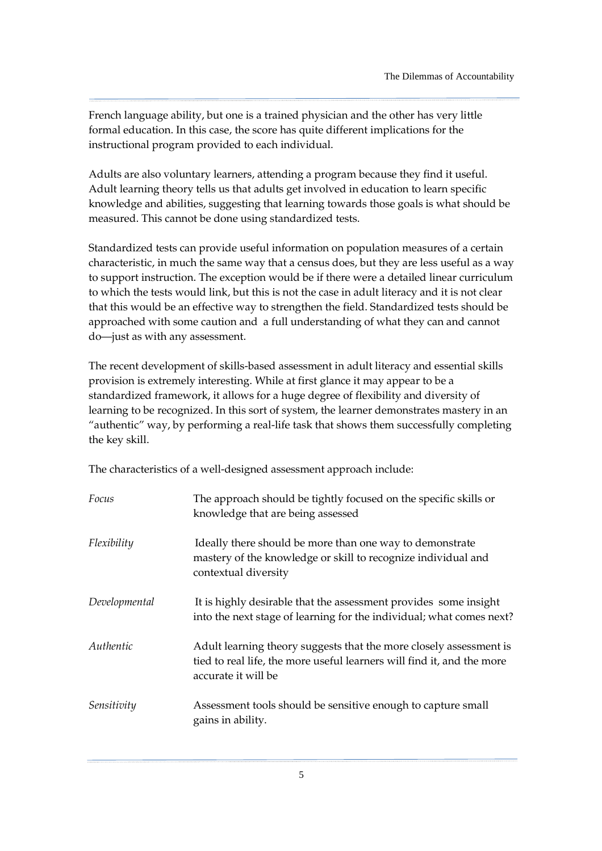French language ability, but one is a trained physician and the other has very little formal education. In this case, the score has quite different implications for the instructional program provided to each individual.

Adults are also voluntary learners, attending a program because they find it useful. Adult learning theory tells us that adults get involved in education to learn specific knowledge and abilities, suggesting that learning towards those goals is what should be measured. This cannot be done using standardized tests.

Standardized tests can provide useful information on population measures of a certain characteristic, in much the same way that a census does, but they are less useful as a way to support instruction. The exception would be if there were a detailed linear curriculum to which the tests would link, but this is not the case in adult literacy and it is not clear that this would be an effective way to strengthen the field. Standardized tests should be approached with some caution and a full understanding of what they can and cannot do—just as with any assessment.

The recent development of skills-based assessment in adult literacy and essential skills provision is extremely interesting. While at first glance it may appear to be a standardized framework, it allows for a huge degree of flexibility and diversity of learning to be recognized. In this sort of system, the learner demonstrates mastery in an "authentic" way, by performing a real-life task that shows them successfully completing the key skill.

The characteristics of a well-designed assessment approach include:

| Focus         | The approach should be tightly focused on the specific skills or<br>knowledge that are being assessed                                                               |
|---------------|---------------------------------------------------------------------------------------------------------------------------------------------------------------------|
| Flexibility   | Ideally there should be more than one way to demonstrate<br>mastery of the knowledge or skill to recognize individual and<br>contextual diversity                   |
| Developmental | It is highly desirable that the assessment provides some insight<br>into the next stage of learning for the individual; what comes next?                            |
| Authentic     | Adult learning theory suggests that the more closely assessment is<br>tied to real life, the more useful learners will find it, and the more<br>accurate it will be |
| Sensitivity   | Assessment tools should be sensitive enough to capture small<br>gains in ability.                                                                                   |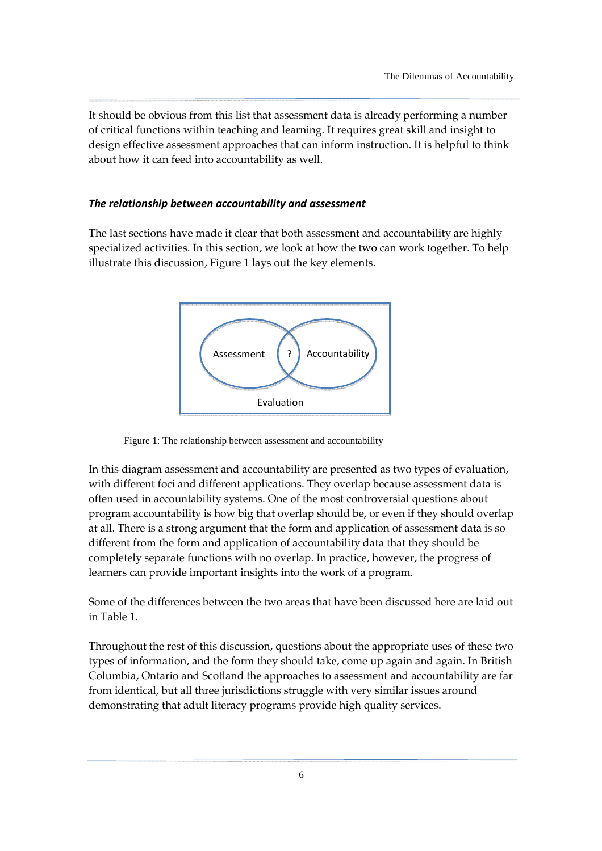<span id="page-11-0"></span>It should be obvious from this list that assessment data is already performing a number of critical functions within teaching and learning. It requires great skill and insight to design effective assessment approaches that can inform instruction. It is helpful to think about how it can feed into accountability as well.

#### The relationship between accountability and assessment

The last sections have made it clear that both assessment and accountability are highly specialized activities. In this section, we look at how the two can work together. To help illustrate this discussion, Figure 1 lays out the key elements.



Figure 1: The relationship between assessment and accountability

In this diagram assessment and accountability are presented as two types of evaluation, with different foci and different applications. They overlap because assessment data is often used in accountability systems. One of the most controversial questions about program accountability is how big that overlap should be, or even if they should overlap at all. There is a strong argument that the form and application of assessment data is so different from the form and application of accountability data that they should be completely separate functions with no overlap. In practice, however, the progress of learners can provide important insights into the work of a program.

Some of the differences between the two areas that have been discussed here are laid out in Table 1.

Throughout the rest of this discussion, questions about the appropriate uses of these two types of information, and the form they should take, come up again and again. In British Columbia, Ontario and Scotland the approaches to assessment and accountability are far from identical, but all three jurisdictions struggle with very similar issues around demonstrating that adult literacy programs provide high quality services.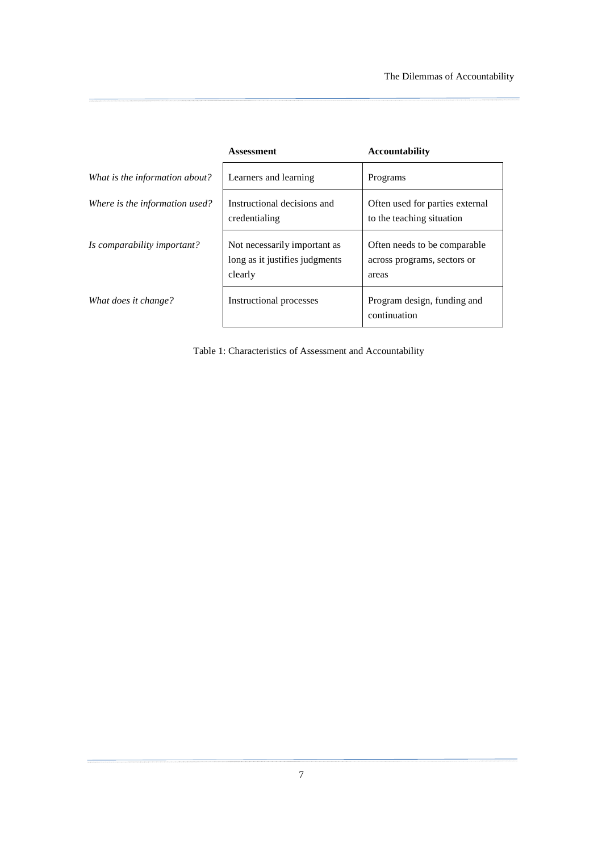|                                | Assessment                                                                | <b>Accountability</b>                                                 |
|--------------------------------|---------------------------------------------------------------------------|-----------------------------------------------------------------------|
| What is the information about? | Learners and learning                                                     | Programs                                                              |
| Where is the information used? | Instructional decisions and<br>credentialing                              | Often used for parties external<br>to the teaching situation          |
| Is comparability important?    | Not necessarily important as<br>long as it justifies judgments<br>clearly | Often needs to be comparable.<br>across programs, sectors or<br>areas |
| What does it change?           | Instructional processes                                                   | Program design, funding and<br>continuation                           |

Table 1: Characteristics of Assessment and Accountability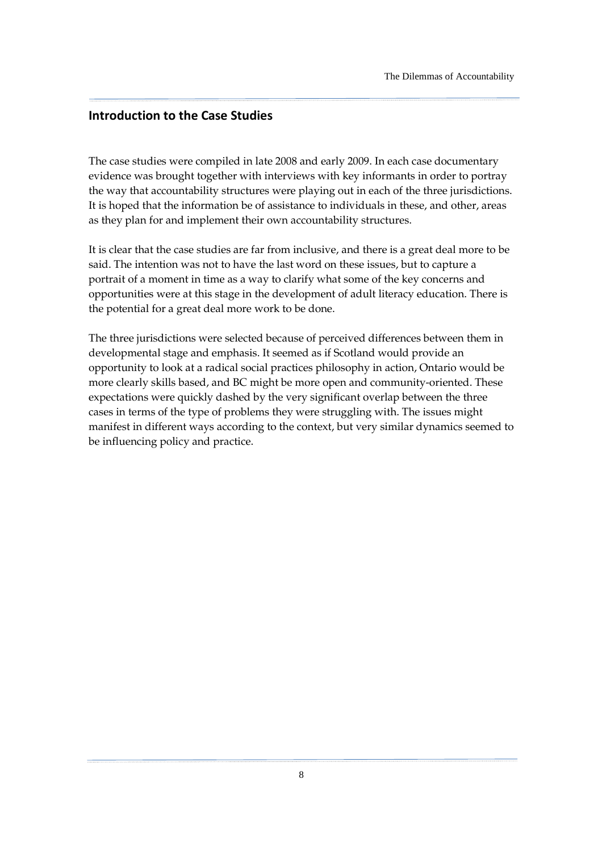### <span id="page-13-0"></span>Introduction to the Case Studies

The case studies were compiled in late 2008 and early 2009. In each case documentary evidence was brought together with interviews with key informants in order to portray the way that accountability structures were playing out in each of the three jurisdictions. It is hoped that the information be of assistance to individuals in these, and other, areas as they plan for and implement their own accountability structures.

It is clear that the case studies are far from inclusive, and there is a great deal more to be said. The intention was not to have the last word on these issues, but to capture a portrait of a moment in time as a way to clarify what some of the key concerns and opportunities were at this stage in the development of adult literacy education. There is the potential for a great deal more work to be done.

The three jurisdictions were selected because of perceived differences between them in developmental stage and emphasis. It seemed as if Scotland would provide an opportunity to look at a radical social practices philosophy in action, Ontario would be more clearly skills based, and BC might be more open and community-oriented. These expectations were quickly dashed by the very significant overlap between the three cases in terms of the type of problems they were struggling with. The issues might manifest in different ways according to the context, but very similar dynamics seemed to be influencing policy and practice.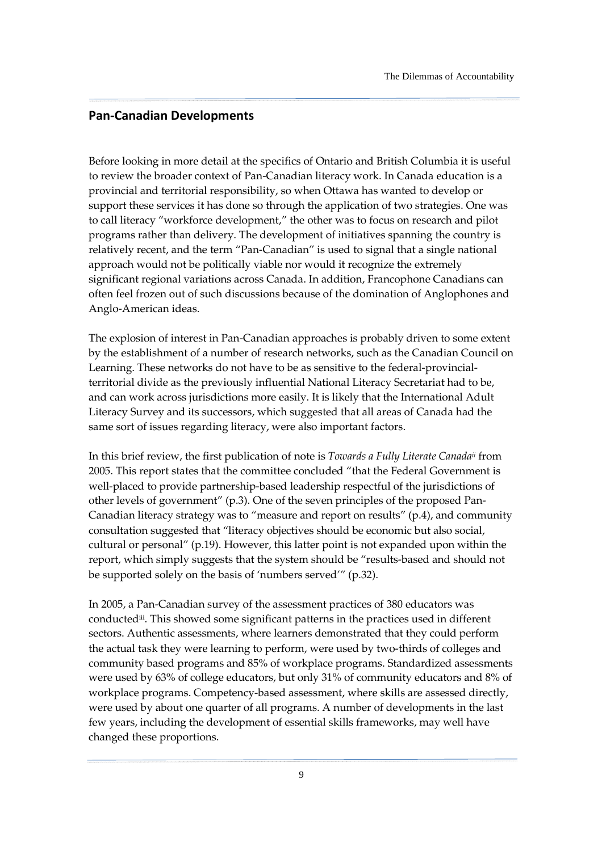### <span id="page-14-0"></span>Pan-Canadian Developments

Before looking in more detail at the specifics of Ontario and British Columbia it is useful to review the broader context of Pan-Canadian literacy work. In Canada education is a provincial and territorial responsibility, so when Ottawa has wanted to develop or support these services it has done so through the application of two strategies. One was to call literacy "workforce development," the other was to focus on research and pilot programs rather than delivery. The development of initiatives spanning the country is relatively recent, and the term "Pan-Canadian" is used to signal that a single national approach would not be politically viable nor would it recognize the extremely significant regional variations across Canada. In addition, Francophone Canadians can often feel frozen out of such discussions because of the domination of Anglophones and Anglo-American ideas.

The explosion of interest in Pan-Canadian approaches is probably driven to some extent by the establishment of a number of research networks, such as the Canadian Council on Learning. These networks do not have to be as sensitive to the federal-provincialterritorial divide as the previously influential National Literacy Secretariat had to be, and can work across jurisdictions more easily. It is likely that the International Adult Literacy Survey and its successors, which suggested that all areas of Canada had the same sort of issues regarding literacy, were also important factors.

In this brief review, the first publication of note is Towards a Fully Literate Canadaii from 2005. This report states that the committee concluded "that the Federal Government is well-placed to provide partnership-based leadership respectful of the jurisdictions of other levels of government" (p.3). One of the seven principles of the proposed Pan-Canadian literacy strategy was to "measure and report on results" (p.4), and community consultation suggested that "literacy objectives should be economic but also social, cultural or personal" (p.19). However, this latter point is not expanded upon within the report, which simply suggests that the system should be "results-based and should not be supported solely on the basis of 'numbers served'" (p.32).

In 2005, a Pan-Canadian survey of the assessment practices of 380 educators was conductediii. This showed some significant patterns in the practices used in different sectors. Authentic assessments, where learners demonstrated that they could perform the actual task they were learning to perform, were used by two-thirds of colleges and community based programs and 85% of workplace programs. Standardized assessments were used by 63% of college educators, but only 31% of community educators and 8% of workplace programs. Competency-based assessment, where skills are assessed directly, were used by about one quarter of all programs. A number of developments in the last few years, including the development of essential skills frameworks, may well have changed these proportions.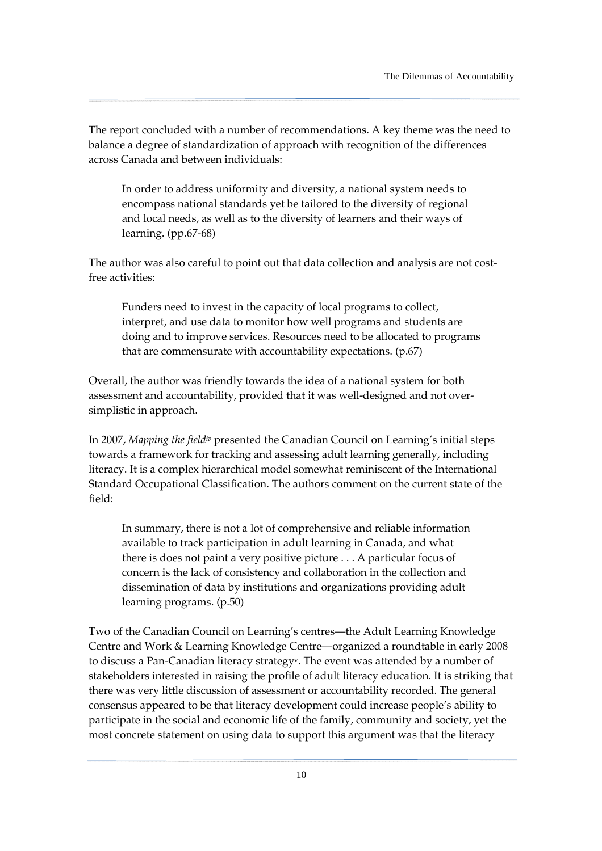The report concluded with a number of recommendations. A key theme was the need to balance a degree of standardization of approach with recognition of the differences across Canada and between individuals:

In order to address uniformity and diversity, a national system needs to encompass national standards yet be tailored to the diversity of regional and local needs, as well as to the diversity of learners and their ways of learning. (pp.67-68)

The author was also careful to point out that data collection and analysis are not costfree activities:

Funders need to invest in the capacity of local programs to collect, interpret, and use data to monitor how well programs and students are doing and to improve services. Resources need to be allocated to programs that are commensurate with accountability expectations. (p.67)

Overall, the author was friendly towards the idea of a national system for both assessment and accountability, provided that it was well-designed and not oversimplistic in approach.

In 2007, Mapping the field<sup>iv</sup> presented the Canadian Council on Learning's initial steps towards a framework for tracking and assessing adult learning generally, including literacy. It is a complex hierarchical model somewhat reminiscent of the International Standard Occupational Classification. The authors comment on the current state of the field:

In summary, there is not a lot of comprehensive and reliable information available to track participation in adult learning in Canada, and what there is does not paint a very positive picture . . . A particular focus of concern is the lack of consistency and collaboration in the collection and dissemination of data by institutions and organizations providing adult learning programs. (p.50)

Two of the Canadian Council on Learning's centres—the Adult Learning Knowledge Centre and Work & Learning Knowledge Centre—organized a roundtable in early 2008 to discuss a Pan-Canadian literacy strategyv. The event was attended by a number of stakeholders interested in raising the profile of adult literacy education. It is striking that there was very little discussion of assessment or accountability recorded. The general consensus appeared to be that literacy development could increase people's ability to participate in the social and economic life of the family, community and society, yet the most concrete statement on using data to support this argument was that the literacy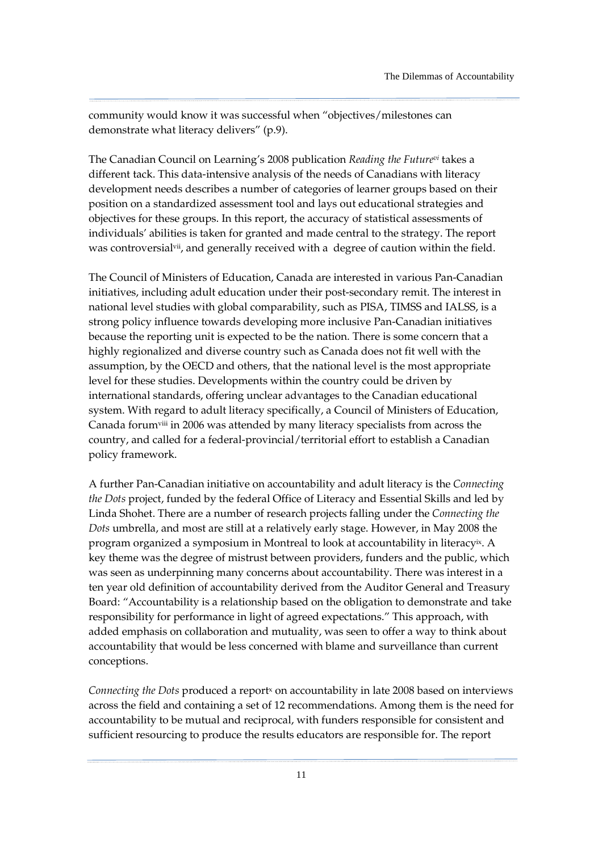community would know it was successful when "objectives/milestones can demonstrate what literacy delivers" (p.9).

The Canadian Council on Learning's 2008 publication Reading the Future<sup>vi</sup> takes a different tack. This data-intensive analysis of the needs of Canadians with literacy development needs describes a number of categories of learner groups based on their position on a standardized assessment tool and lays out educational strategies and objectives for these groups. In this report, the accuracy of statistical assessments of individuals' abilities is taken for granted and made central to the strategy. The report was controversial<sup>vii</sup>, and generally received with a degree of caution within the field.

The Council of Ministers of Education, Canada are interested in various Pan-Canadian initiatives, including adult education under their post-secondary remit. The interest in national level studies with global comparability, such as PISA, TIMSS and IALSS, is a strong policy influence towards developing more inclusive Pan-Canadian initiatives because the reporting unit is expected to be the nation. There is some concern that a highly regionalized and diverse country such as Canada does not fit well with the assumption, by the OECD and others, that the national level is the most appropriate level for these studies. Developments within the country could be driven by international standards, offering unclear advantages to the Canadian educational system. With regard to adult literacy specifically, a Council of Ministers of Education, Canada forumviii in 2006 was attended by many literacy specialists from across the country, and called for a federal-provincial/territorial effort to establish a Canadian policy framework.

A further Pan-Canadian initiative on accountability and adult literacy is the Connecting the Dots project, funded by the federal Office of Literacy and Essential Skills and led by Linda Shohet. There are a number of research projects falling under the Connecting the Dots umbrella, and most are still at a relatively early stage. However, in May 2008 the program organized a symposium in Montreal to look at accountability in literacyix. A key theme was the degree of mistrust between providers, funders and the public, which was seen as underpinning many concerns about accountability. There was interest in a ten year old definition of accountability derived from the Auditor General and Treasury Board: "Accountability is a relationship based on the obligation to demonstrate and take responsibility for performance in light of agreed expectations." This approach, with added emphasis on collaboration and mutuality, was seen to offer a way to think about accountability that would be less concerned with blame and surveillance than current conceptions.

Connecting the Dots produced a report<sup>x</sup> on accountability in late 2008 based on interviews across the field and containing a set of 12 recommendations. Among them is the need for accountability to be mutual and reciprocal, with funders responsible for consistent and sufficient resourcing to produce the results educators are responsible for. The report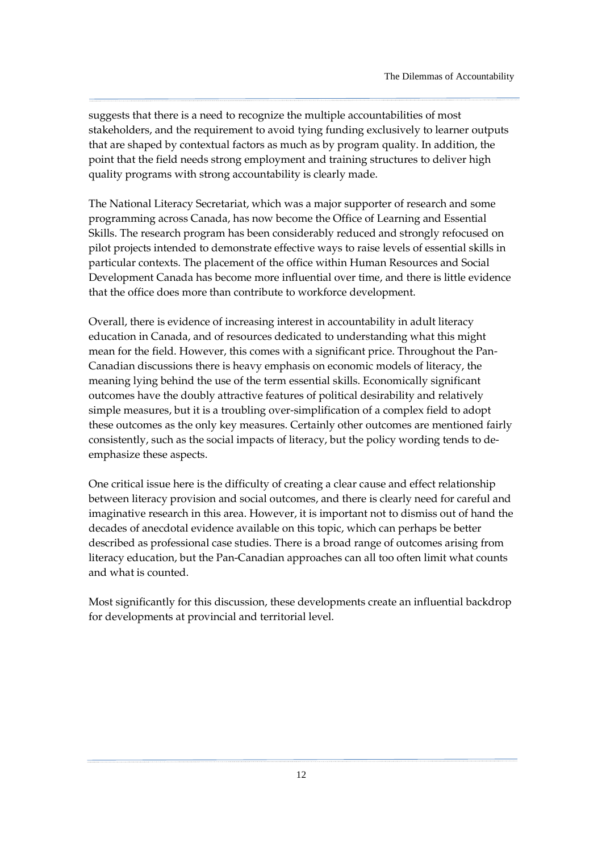suggests that there is a need to recognize the multiple accountabilities of most stakeholders, and the requirement to avoid tying funding exclusively to learner outputs that are shaped by contextual factors as much as by program quality. In addition, the point that the field needs strong employment and training structures to deliver high quality programs with strong accountability is clearly made.

The National Literacy Secretariat, which was a major supporter of research and some programming across Canada, has now become the Office of Learning and Essential Skills. The research program has been considerably reduced and strongly refocused on pilot projects intended to demonstrate effective ways to raise levels of essential skills in particular contexts. The placement of the office within Human Resources and Social Development Canada has become more influential over time, and there is little evidence that the office does more than contribute to workforce development.

Overall, there is evidence of increasing interest in accountability in adult literacy education in Canada, and of resources dedicated to understanding what this might mean for the field. However, this comes with a significant price. Throughout the Pan-Canadian discussions there is heavy emphasis on economic models of literacy, the meaning lying behind the use of the term essential skills. Economically significant outcomes have the doubly attractive features of political desirability and relatively simple measures, but it is a troubling over-simplification of a complex field to adopt these outcomes as the only key measures. Certainly other outcomes are mentioned fairly consistently, such as the social impacts of literacy, but the policy wording tends to deemphasize these aspects.

One critical issue here is the difficulty of creating a clear cause and effect relationship between literacy provision and social outcomes, and there is clearly need for careful and imaginative research in this area. However, it is important not to dismiss out of hand the decades of anecdotal evidence available on this topic, which can perhaps be better described as professional case studies. There is a broad range of outcomes arising from literacy education, but the Pan-Canadian approaches can all too often limit what counts and what is counted.

Most significantly for this discussion, these developments create an influential backdrop for developments at provincial and territorial level.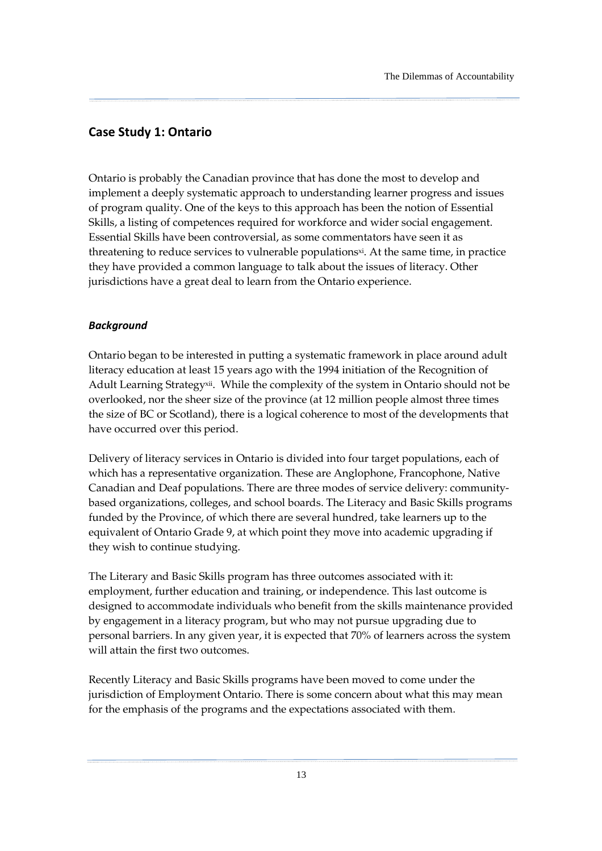### <span id="page-18-0"></span>Case Study 1: Ontario

Ontario is probably the Canadian province that has done the most to develop and implement a deeply systematic approach to understanding learner progress and issues of program quality. One of the keys to this approach has been the notion of Essential Skills, a listing of competences required for workforce and wider social engagement. Essential Skills have been controversial, as some commentators have seen it as threatening to reduce services to vulnerable populationsxi. At the same time, in practice they have provided a common language to talk about the issues of literacy. Other jurisdictions have a great deal to learn from the Ontario experience.

#### **Background**

Ontario began to be interested in putting a systematic framework in place around adult literacy education at least 15 years ago with the 1994 initiation of the Recognition of Adult Learning Strategyxii. While the complexity of the system in Ontario should not be overlooked, nor the sheer size of the province (at 12 million people almost three times the size of BC or Scotland), there is a logical coherence to most of the developments that have occurred over this period.

Delivery of literacy services in Ontario is divided into four target populations, each of which has a representative organization. These are Anglophone, Francophone, Native Canadian and Deaf populations. There are three modes of service delivery: communitybased organizations, colleges, and school boards. The Literacy and Basic Skills programs funded by the Province, of which there are several hundred, take learners up to the equivalent of Ontario Grade 9, at which point they move into academic upgrading if they wish to continue studying.

The Literary and Basic Skills program has three outcomes associated with it: employment, further education and training, or independence. This last outcome is designed to accommodate individuals who benefit from the skills maintenance provided by engagement in a literacy program, but who may not pursue upgrading due to personal barriers. In any given year, it is expected that 70% of learners across the system will attain the first two outcomes.

Recently Literacy and Basic Skills programs have been moved to come under the jurisdiction of Employment Ontario. There is some concern about what this may mean for the emphasis of the programs and the expectations associated with them.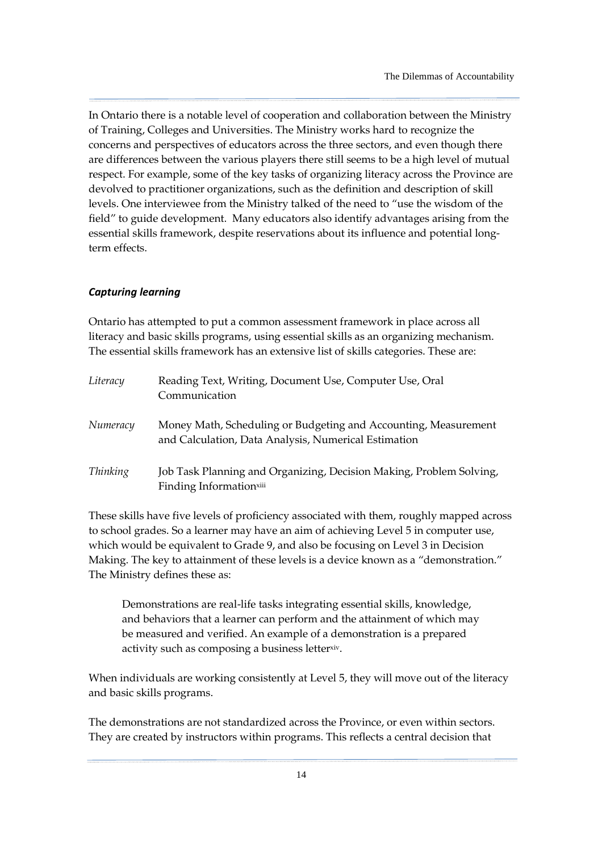In Ontario there is a notable level of cooperation and collaboration between the Ministry of Training, Colleges and Universities. The Ministry works hard to recognize the concerns and perspectives of educators across the three sectors, and even though there are differences between the various players there still seems to be a high level of mutual respect. For example, some of the key tasks of organizing literacy across the Province are devolved to practitioner organizations, such as the definition and description of skill levels. One interviewee from the Ministry talked of the need to "use the wisdom of the field" to guide development. Many educators also identify advantages arising from the essential skills framework, despite reservations about its influence and potential longterm effects.

### Capturing learning

Ontario has attempted to put a common assessment framework in place across all literacy and basic skills programs, using essential skills as an organizing mechanism. The essential skills framework has an extensive list of skills categories. These are:

| Literacy        | Reading Text, Writing, Document Use, Computer Use, Oral<br>Communication                                                |
|-----------------|-------------------------------------------------------------------------------------------------------------------------|
| Numeracy        | Money Math, Scheduling or Budgeting and Accounting, Measurement<br>and Calculation, Data Analysis, Numerical Estimation |
| <b>Thinking</b> | Job Task Planning and Organizing, Decision Making, Problem Solving,<br>Finding Information <sup>xiii</sup>              |

These skills have five levels of proficiency associated with them, roughly mapped across to school grades. So a learner may have an aim of achieving Level 5 in computer use, which would be equivalent to Grade 9, and also be focusing on Level 3 in Decision Making. The key to attainment of these levels is a device known as a "demonstration." The Ministry defines these as:

Demonstrations are real-life tasks integrating essential skills, knowledge, and behaviors that a learner can perform and the attainment of which may be measured and verified. An example of a demonstration is a prepared activity such as composing a business letterxiv.

When individuals are working consistently at Level 5, they will move out of the literacy and basic skills programs.

The demonstrations are not standardized across the Province, or even within sectors. They are created by instructors within programs. This reflects a central decision that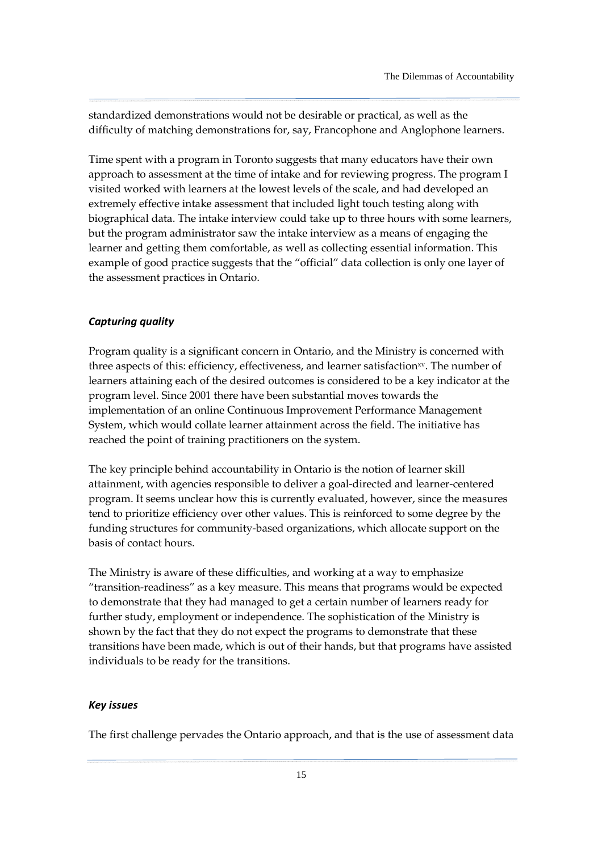standardized demonstrations would not be desirable or practical, as well as the difficulty of matching demonstrations for, say, Francophone and Anglophone learners.

Time spent with a program in Toronto suggests that many educators have their own approach to assessment at the time of intake and for reviewing progress. The program I visited worked with learners at the lowest levels of the scale, and had developed an extremely effective intake assessment that included light touch testing along with biographical data. The intake interview could take up to three hours with some learners, but the program administrator saw the intake interview as a means of engaging the learner and getting them comfortable, as well as collecting essential information. This example of good practice suggests that the "official" data collection is only one layer of the assessment practices in Ontario.

### Capturing quality

Program quality is a significant concern in Ontario, and the Ministry is concerned with three aspects of this: efficiency, effectiveness, and learner satisfaction<sup>xv</sup>. The number of learners attaining each of the desired outcomes is considered to be a key indicator at the program level. Since 2001 there have been substantial moves towards the implementation of an online Continuous Improvement Performance Management System, which would collate learner attainment across the field. The initiative has reached the point of training practitioners on the system.

The key principle behind accountability in Ontario is the notion of learner skill attainment, with agencies responsible to deliver a goal-directed and learner-centered program. It seems unclear how this is currently evaluated, however, since the measures tend to prioritize efficiency over other values. This is reinforced to some degree by the funding structures for community-based organizations, which allocate support on the basis of contact hours.

The Ministry is aware of these difficulties, and working at a way to emphasize "transition-readiness" as a key measure. This means that programs would be expected to demonstrate that they had managed to get a certain number of learners ready for further study, employment or independence. The sophistication of the Ministry is shown by the fact that they do not expect the programs to demonstrate that these transitions have been made, which is out of their hands, but that programs have assisted individuals to be ready for the transitions.

### Key issues

The first challenge pervades the Ontario approach, and that is the use of assessment data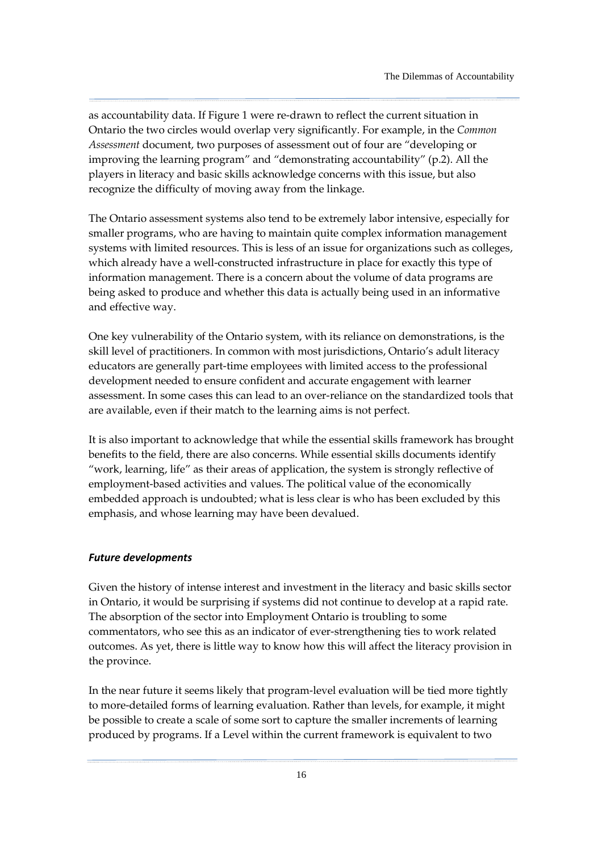as accountability data. If Figure 1 were re-drawn to reflect the current situation in Ontario the two circles would overlap very significantly. For example, in the Common Assessment document, two purposes of assessment out of four are "developing or improving the learning program" and "demonstrating accountability" (p.2). All the players in literacy and basic skills acknowledge concerns with this issue, but also recognize the difficulty of moving away from the linkage.

The Ontario assessment systems also tend to be extremely labor intensive, especially for smaller programs, who are having to maintain quite complex information management systems with limited resources. This is less of an issue for organizations such as colleges, which already have a well-constructed infrastructure in place for exactly this type of information management. There is a concern about the volume of data programs are being asked to produce and whether this data is actually being used in an informative and effective way.

One key vulnerability of the Ontario system, with its reliance on demonstrations, is the skill level of practitioners. In common with most jurisdictions, Ontario's adult literacy educators are generally part-time employees with limited access to the professional development needed to ensure confident and accurate engagement with learner assessment. In some cases this can lead to an over-reliance on the standardized tools that are available, even if their match to the learning aims is not perfect.

It is also important to acknowledge that while the essential skills framework has brought benefits to the field, there are also concerns. While essential skills documents identify "work, learning, life" as their areas of application, the system is strongly reflective of employment-based activities and values. The political value of the economically embedded approach is undoubted; what is less clear is who has been excluded by this emphasis, and whose learning may have been devalued.

#### Future developments

Given the history of intense interest and investment in the literacy and basic skills sector in Ontario, it would be surprising if systems did not continue to develop at a rapid rate. The absorption of the sector into Employment Ontario is troubling to some commentators, who see this as an indicator of ever-strengthening ties to work related outcomes. As yet, there is little way to know how this will affect the literacy provision in the province.

In the near future it seems likely that program-level evaluation will be tied more tightly to more-detailed forms of learning evaluation. Rather than levels, for example, it might be possible to create a scale of some sort to capture the smaller increments of learning produced by programs. If a Level within the current framework is equivalent to two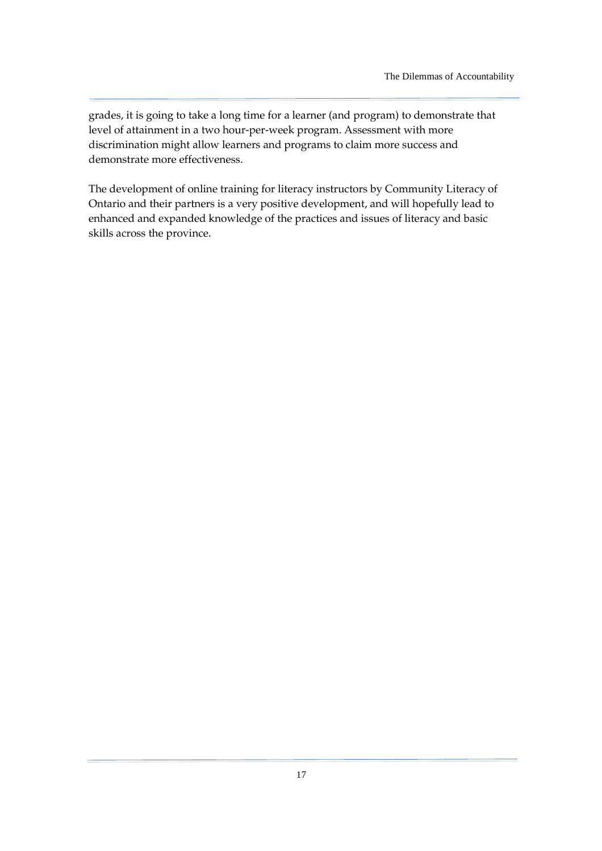grades, it is going to take a long time for a learner (and program) to demonstrate that level of attainment in a two hour-per-week program. Assessment with more discrimination might allow learners and programs to claim more success and demonstrate more effectiveness.

The development of online training for literacy instructors by Community Literacy of Ontario and their partners is a very positive development, and will hopefully lead to enhanced and expanded knowledge of the practices and issues of literacy and basic skills across the province.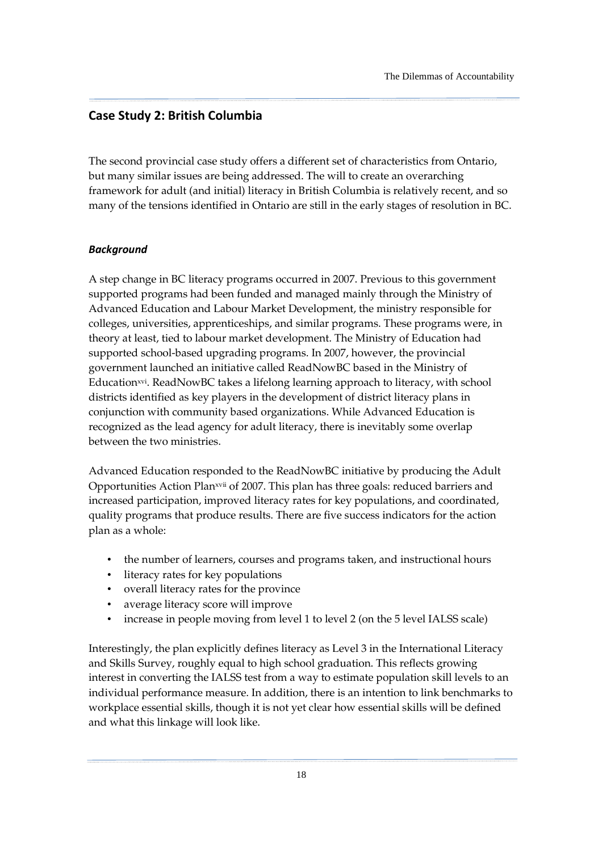### <span id="page-23-0"></span>Case Study 2: British Columbia

The second provincial case study offers a different set of characteristics from Ontario, but many similar issues are being addressed. The will to create an overarching framework for adult (and initial) literacy in British Columbia is relatively recent, and so many of the tensions identified in Ontario are still in the early stages of resolution in BC.

### **Background**

A step change in BC literacy programs occurred in 2007. Previous to this government supported programs had been funded and managed mainly through the Ministry of Advanced Education and Labour Market Development, the ministry responsible for colleges, universities, apprenticeships, and similar programs. These programs were, in theory at least, tied to labour market development. The Ministry of Education had supported school-based upgrading programs. In 2007, however, the provincial government launched an initiative called ReadNowBC based in the Ministry of Education<sup>xvi</sup>. ReadNowBC takes a lifelong learning approach to literacy, with school districts identified as key players in the development of district literacy plans in conjunction with community based organizations. While Advanced Education is recognized as the lead agency for adult literacy, there is inevitably some overlap between the two ministries.

Advanced Education responded to the ReadNowBC initiative by producing the Adult Opportunities Action Planxvii of 2007. This plan has three goals: reduced barriers and increased participation, improved literacy rates for key populations, and coordinated, quality programs that produce results. There are five success indicators for the action plan as a whole:

- the number of learners, courses and programs taken, and instructional hours
- literacy rates for key populations
- overall literacy rates for the province
- average literacy score will improve
- increase in people moving from level 1 to level 2 (on the 5 level IALSS scale)

Interestingly, the plan explicitly defines literacy as Level 3 in the International Literacy and Skills Survey, roughly equal to high school graduation. This reflects growing interest in converting the IALSS test from a way to estimate population skill levels to an individual performance measure. In addition, there is an intention to link benchmarks to workplace essential skills, though it is not yet clear how essential skills will be defined and what this linkage will look like.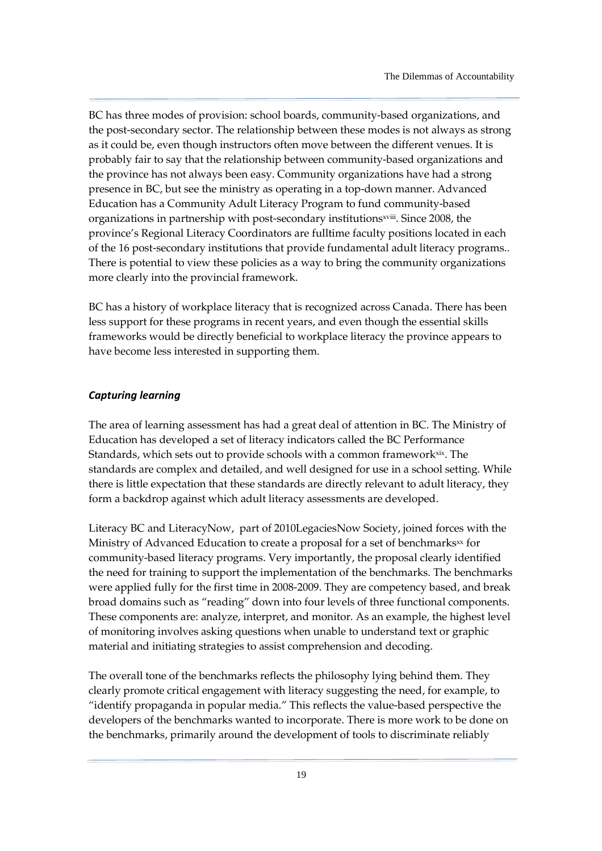BC has three modes of provision: school boards, community-based organizations, and the post-secondary sector. The relationship between these modes is not always as strong as it could be, even though instructors often move between the different venues. It is probably fair to say that the relationship between community-based organizations and the province has not always been easy. Community organizations have had a strong presence in BC, but see the ministry as operating in a top-down manner. Advanced Education has a Community Adult Literacy Program to fund community-based organizations in partnership with post-secondary institutions<sup>xviii</sup>. Since 2008, the province's Regional Literacy Coordinators are fulltime faculty positions located in each of the 16 post-secondary institutions that provide fundamental adult literacy programs.. There is potential to view these policies as a way to bring the community organizations more clearly into the provincial framework.

BC has a history of workplace literacy that is recognized across Canada. There has been less support for these programs in recent years, and even though the essential skills frameworks would be directly beneficial to workplace literacy the province appears to have become less interested in supporting them.

### Capturing learning

The area of learning assessment has had a great deal of attention in BC. The Ministry of Education has developed a set of literacy indicators called the BC Performance Standards, which sets out to provide schools with a common framework<sup>xix</sup>. The standards are complex and detailed, and well designed for use in a school setting. While there is little expectation that these standards are directly relevant to adult literacy, they form a backdrop against which adult literacy assessments are developed.

Literacy BC and LiteracyNow, part of 2010LegaciesNow Society, joined forces with the Ministry of Advanced Education to create a proposal for a set of benchmarks $\alpha$  for community-based literacy programs. Very importantly, the proposal clearly identified the need for training to support the implementation of the benchmarks. The benchmarks were applied fully for the first time in 2008-2009. They are competency based, and break broad domains such as "reading" down into four levels of three functional components. These components are: analyze, interpret, and monitor. As an example, the highest level of monitoring involves asking questions when unable to understand text or graphic material and initiating strategies to assist comprehension and decoding.

The overall tone of the benchmarks reflects the philosophy lying behind them. They clearly promote critical engagement with literacy suggesting the need, for example, to "identify propaganda in popular media." This reflects the value-based perspective the developers of the benchmarks wanted to incorporate. There is more work to be done on the benchmarks, primarily around the development of tools to discriminate reliably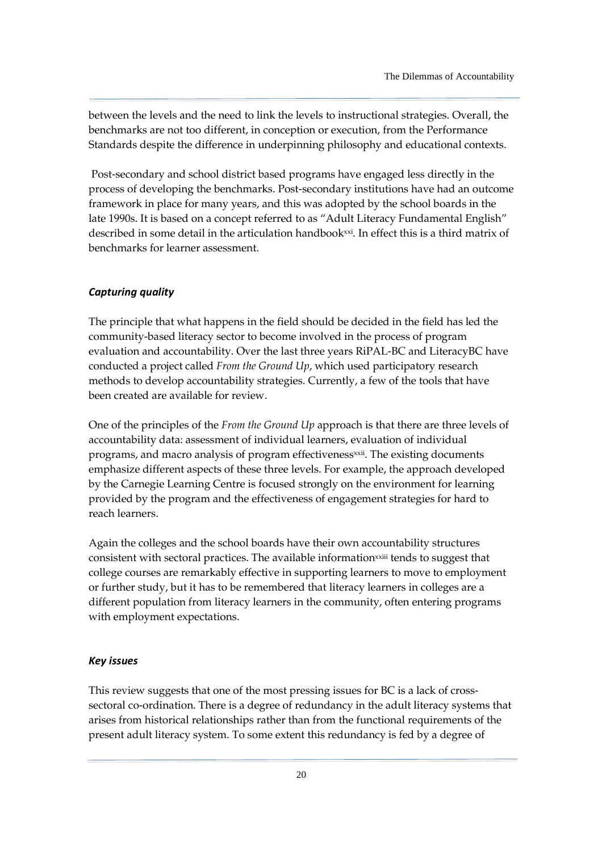between the levels and the need to link the levels to instructional strategies. Overall, the benchmarks are not too different, in conception or execution, from the Performance Standards despite the difference in underpinning philosophy and educational contexts.

 Post-secondary and school district based programs have engaged less directly in the process of developing the benchmarks. Post-secondary institutions have had an outcome framework in place for many years, and this was adopted by the school boards in the late 1990s. It is based on a concept referred to as "Adult Literacy Fundamental English" described in some detail in the articulation handbook<sup>xxi</sup>. In effect this is a third matrix of benchmarks for learner assessment.

#### Capturing quality

The principle that what happens in the field should be decided in the field has led the community-based literacy sector to become involved in the process of program evaluation and accountability. Over the last three years RiPAL-BC and LiteracyBC have conducted a project called From the Ground Up, which used participatory research methods to develop accountability strategies. Currently, a few of the tools that have been created are available for review.

One of the principles of the From the Ground Up approach is that there are three levels of accountability data: assessment of individual learners, evaluation of individual programs, and macro analysis of program effectivenessxxii. The existing documents emphasize different aspects of these three levels. For example, the approach developed by the Carnegie Learning Centre is focused strongly on the environment for learning provided by the program and the effectiveness of engagement strategies for hard to reach learners.

Again the colleges and the school boards have their own accountability structures consistent with sectoral practices. The available informationxxiii tends to suggest that college courses are remarkably effective in supporting learners to move to employment or further study, but it has to be remembered that literacy learners in colleges are a different population from literacy learners in the community, often entering programs with employment expectations.

#### Key issues

This review suggests that one of the most pressing issues for BC is a lack of crosssectoral co-ordination. There is a degree of redundancy in the adult literacy systems that arises from historical relationships rather than from the functional requirements of the present adult literacy system. To some extent this redundancy is fed by a degree of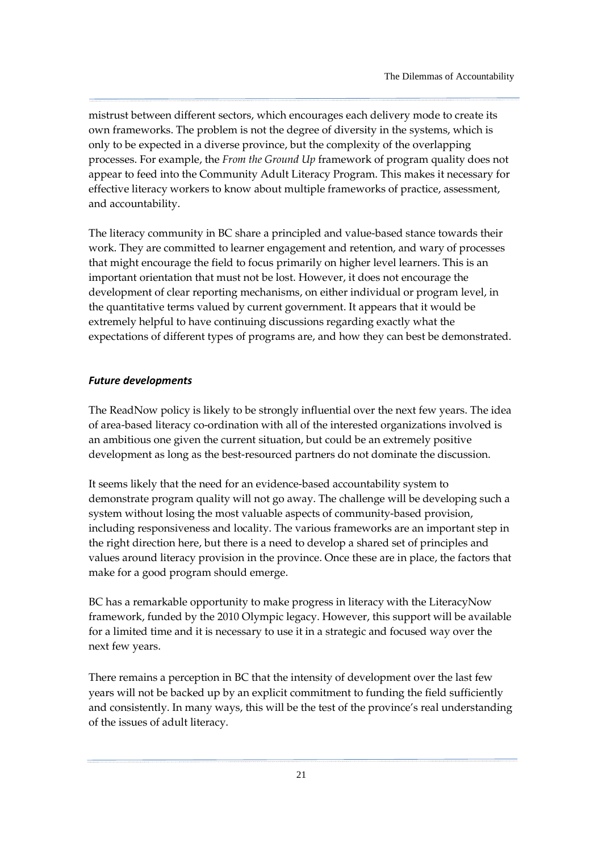mistrust between different sectors, which encourages each delivery mode to create its own frameworks. The problem is not the degree of diversity in the systems, which is only to be expected in a diverse province, but the complexity of the overlapping processes. For example, the From the Ground Up framework of program quality does not appear to feed into the Community Adult Literacy Program. This makes it necessary for effective literacy workers to know about multiple frameworks of practice, assessment, and accountability.

The literacy community in BC share a principled and value-based stance towards their work. They are committed to learner engagement and retention, and wary of processes that might encourage the field to focus primarily on higher level learners. This is an important orientation that must not be lost. However, it does not encourage the development of clear reporting mechanisms, on either individual or program level, in the quantitative terms valued by current government. It appears that it would be extremely helpful to have continuing discussions regarding exactly what the expectations of different types of programs are, and how they can best be demonstrated.

### Future developments

The ReadNow policy is likely to be strongly influential over the next few years. The idea of area-based literacy co-ordination with all of the interested organizations involved is an ambitious one given the current situation, but could be an extremely positive development as long as the best-resourced partners do not dominate the discussion.

It seems likely that the need for an evidence-based accountability system to demonstrate program quality will not go away. The challenge will be developing such a system without losing the most valuable aspects of community-based provision, including responsiveness and locality. The various frameworks are an important step in the right direction here, but there is a need to develop a shared set of principles and values around literacy provision in the province. Once these are in place, the factors that make for a good program should emerge.

BC has a remarkable opportunity to make progress in literacy with the LiteracyNow framework, funded by the 2010 Olympic legacy. However, this support will be available for a limited time and it is necessary to use it in a strategic and focused way over the next few years.

There remains a perception in BC that the intensity of development over the last few years will not be backed up by an explicit commitment to funding the field sufficiently and consistently. In many ways, this will be the test of the province's real understanding of the issues of adult literacy.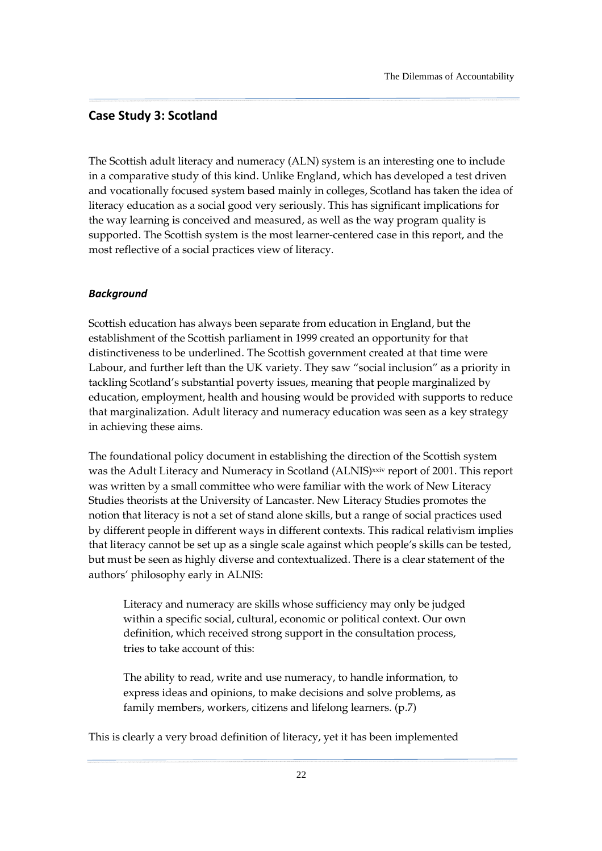### <span id="page-27-0"></span>Case Study 3: Scotland

The Scottish adult literacy and numeracy (ALN) system is an interesting one to include in a comparative study of this kind. Unlike England, which has developed a test driven and vocationally focused system based mainly in colleges, Scotland has taken the idea of literacy education as a social good very seriously. This has significant implications for the way learning is conceived and measured, as well as the way program quality is supported. The Scottish system is the most learner-centered case in this report, and the most reflective of a social practices view of literacy.

### Background

Scottish education has always been separate from education in England, but the establishment of the Scottish parliament in 1999 created an opportunity for that distinctiveness to be underlined. The Scottish government created at that time were Labour, and further left than the UK variety. They saw "social inclusion" as a priority in tackling Scotland's substantial poverty issues, meaning that people marginalized by education, employment, health and housing would be provided with supports to reduce that marginalization. Adult literacy and numeracy education was seen as a key strategy in achieving these aims.

The foundational policy document in establishing the direction of the Scottish system was the Adult Literacy and Numeracy in Scotland (ALNIS)xxiv report of 2001. This report was written by a small committee who were familiar with the work of New Literacy Studies theorists at the University of Lancaster. New Literacy Studies promotes the notion that literacy is not a set of stand alone skills, but a range of social practices used by different people in different ways in different contexts. This radical relativism implies that literacy cannot be set up as a single scale against which people's skills can be tested, but must be seen as highly diverse and contextualized. There is a clear statement of the authors' philosophy early in ALNIS:

Literacy and numeracy are skills whose sufficiency may only be judged within a specific social, cultural, economic or political context. Our own definition, which received strong support in the consultation process, tries to take account of this:

The ability to read, write and use numeracy, to handle information, to express ideas and opinions, to make decisions and solve problems, as family members, workers, citizens and lifelong learners. (p.7)

This is clearly a very broad definition of literacy, yet it has been implemented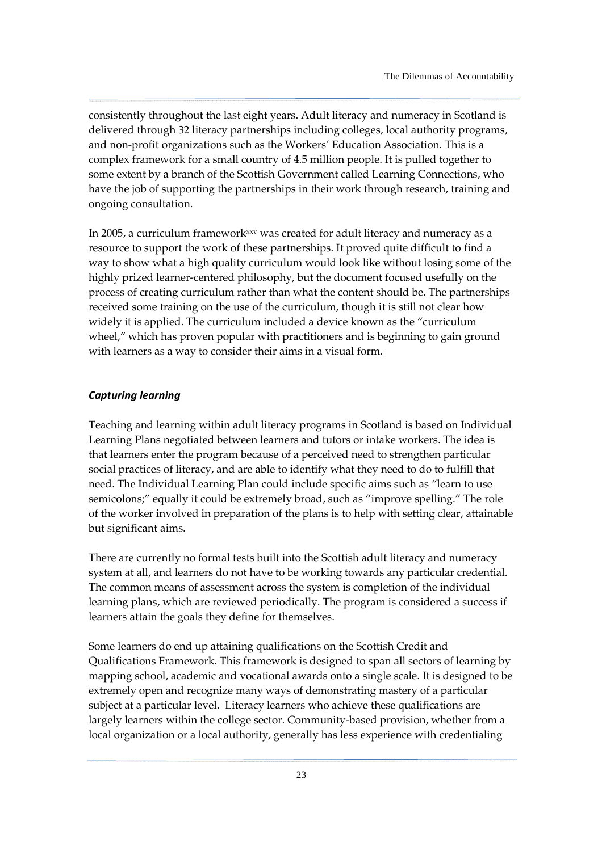consistently throughout the last eight years. Adult literacy and numeracy in Scotland is delivered through 32 literacy partnerships including colleges, local authority programs, and non-profit organizations such as the Workers' Education Association. This is a complex framework for a small country of 4.5 million people. It is pulled together to some extent by a branch of the Scottish Government called Learning Connections, who have the job of supporting the partnerships in their work through research, training and ongoing consultation.

In 2005, a curriculum framework<sup>xxv</sup> was created for adult literacy and numeracy as a resource to support the work of these partnerships. It proved quite difficult to find a way to show what a high quality curriculum would look like without losing some of the highly prized learner-centered philosophy, but the document focused usefully on the process of creating curriculum rather than what the content should be. The partnerships received some training on the use of the curriculum, though it is still not clear how widely it is applied. The curriculum included a device known as the "curriculum wheel," which has proven popular with practitioners and is beginning to gain ground with learners as a way to consider their aims in a visual form.

### Capturing learning

Teaching and learning within adult literacy programs in Scotland is based on Individual Learning Plans negotiated between learners and tutors or intake workers. The idea is that learners enter the program because of a perceived need to strengthen particular social practices of literacy, and are able to identify what they need to do to fulfill that need. The Individual Learning Plan could include specific aims such as "learn to use semicolons;" equally it could be extremely broad, such as "improve spelling." The role of the worker involved in preparation of the plans is to help with setting clear, attainable but significant aims.

There are currently no formal tests built into the Scottish adult literacy and numeracy system at all, and learners do not have to be working towards any particular credential. The common means of assessment across the system is completion of the individual learning plans, which are reviewed periodically. The program is considered a success if learners attain the goals they define for themselves.

Some learners do end up attaining qualifications on the Scottish Credit and Qualifications Framework. This framework is designed to span all sectors of learning by mapping school, academic and vocational awards onto a single scale. It is designed to be extremely open and recognize many ways of demonstrating mastery of a particular subject at a particular level. Literacy learners who achieve these qualifications are largely learners within the college sector. Community-based provision, whether from a local organization or a local authority, generally has less experience with credentialing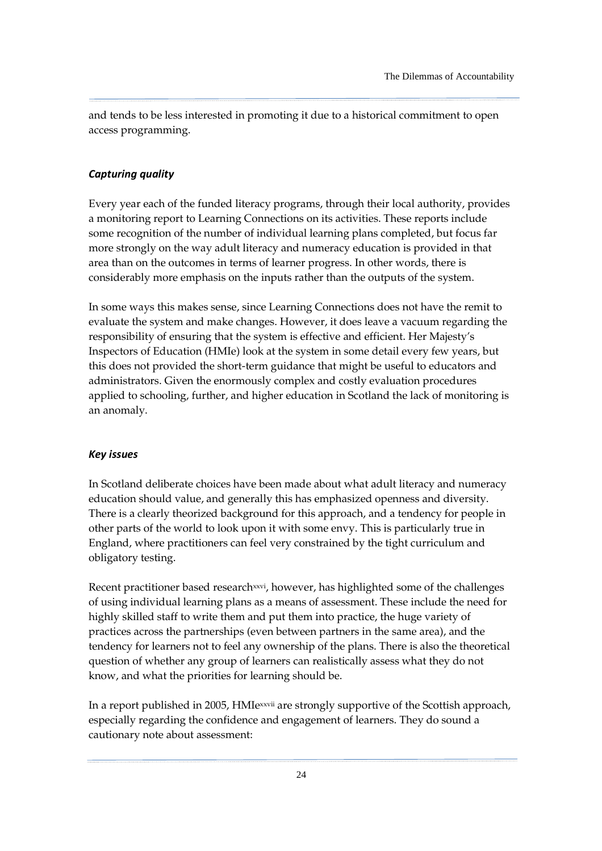and tends to be less interested in promoting it due to a historical commitment to open access programming.

### Capturing quality

Every year each of the funded literacy programs, through their local authority, provides a monitoring report to Learning Connections on its activities. These reports include some recognition of the number of individual learning plans completed, but focus far more strongly on the way adult literacy and numeracy education is provided in that area than on the outcomes in terms of learner progress. In other words, there is considerably more emphasis on the inputs rather than the outputs of the system.

In some ways this makes sense, since Learning Connections does not have the remit to evaluate the system and make changes. However, it does leave a vacuum regarding the responsibility of ensuring that the system is effective and efficient. Her Majesty's Inspectors of Education (HMIe) look at the system in some detail every few years, but this does not provided the short-term guidance that might be useful to educators and administrators. Given the enormously complex and costly evaluation procedures applied to schooling, further, and higher education in Scotland the lack of monitoring is an anomaly.

#### Key issues

In Scotland deliberate choices have been made about what adult literacy and numeracy education should value, and generally this has emphasized openness and diversity. There is a clearly theorized background for this approach, and a tendency for people in other parts of the world to look upon it with some envy. This is particularly true in England, where practitioners can feel very constrained by the tight curriculum and obligatory testing.

Recent practitioner based research<sup>xxvi</sup>, however, has highlighted some of the challenges of using individual learning plans as a means of assessment. These include the need for highly skilled staff to write them and put them into practice, the huge variety of practices across the partnerships (even between partners in the same area), and the tendency for learners not to feel any ownership of the plans. There is also the theoretical question of whether any group of learners can realistically assess what they do not know, and what the priorities for learning should be.

In a report published in 2005, HMIexxvii are strongly supportive of the Scottish approach, especially regarding the confidence and engagement of learners. They do sound a cautionary note about assessment: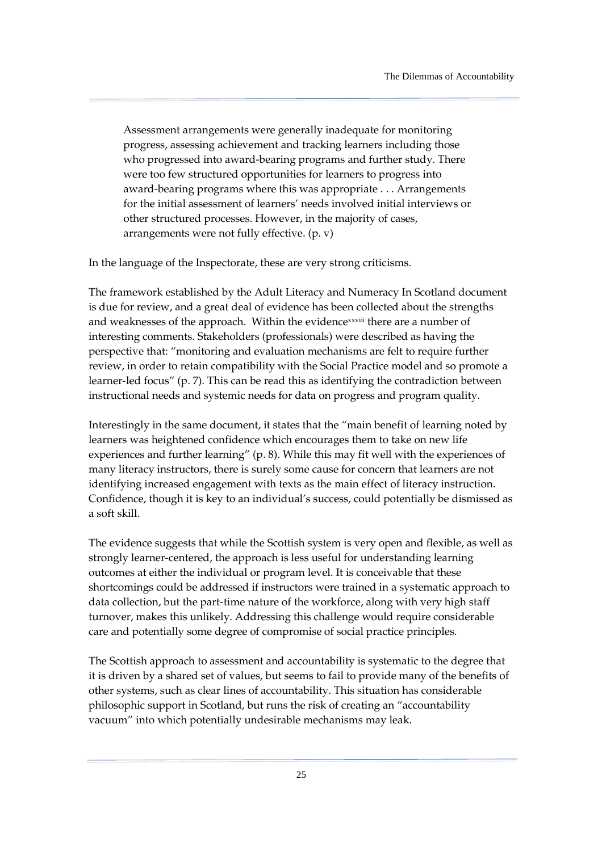Assessment arrangements were generally inadequate for monitoring progress, assessing achievement and tracking learners including those who progressed into award-bearing programs and further study. There were too few structured opportunities for learners to progress into award-bearing programs where this was appropriate . . . Arrangements for the initial assessment of learners' needs involved initial interviews or other structured processes. However, in the majority of cases, arrangements were not fully effective. (p. v)

In the language of the Inspectorate, these are very strong criticisms.

The framework established by the Adult Literacy and Numeracy In Scotland document is due for review, and a great deal of evidence has been collected about the strengths and weaknesses of the approach. Within the evidencexxviii there are a number of interesting comments. Stakeholders (professionals) were described as having the perspective that: "monitoring and evaluation mechanisms are felt to require further review, in order to retain compatibility with the Social Practice model and so promote a learner-led focus" (p. 7). This can be read this as identifying the contradiction between instructional needs and systemic needs for data on progress and program quality.

Interestingly in the same document, it states that the "main benefit of learning noted by learners was heightened confidence which encourages them to take on new life experiences and further learning" (p. 8). While this may fit well with the experiences of many literacy instructors, there is surely some cause for concern that learners are not identifying increased engagement with texts as the main effect of literacy instruction. Confidence, though it is key to an individual's success, could potentially be dismissed as a soft skill.

The evidence suggests that while the Scottish system is very open and flexible, as well as strongly learner-centered, the approach is less useful for understanding learning outcomes at either the individual or program level. It is conceivable that these shortcomings could be addressed if instructors were trained in a systematic approach to data collection, but the part-time nature of the workforce, along with very high staff turnover, makes this unlikely. Addressing this challenge would require considerable care and potentially some degree of compromise of social practice principles.

The Scottish approach to assessment and accountability is systematic to the degree that it is driven by a shared set of values, but seems to fail to provide many of the benefits of other systems, such as clear lines of accountability. This situation has considerable philosophic support in Scotland, but runs the risk of creating an "accountability vacuum" into which potentially undesirable mechanisms may leak.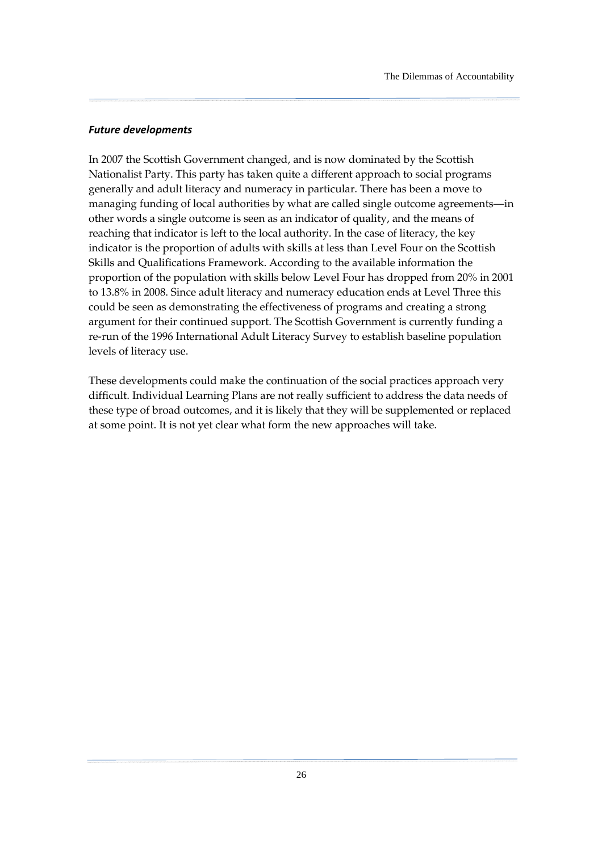#### Future developments

In 2007 the Scottish Government changed, and is now dominated by the Scottish Nationalist Party. This party has taken quite a different approach to social programs generally and adult literacy and numeracy in particular. There has been a move to managing funding of local authorities by what are called single outcome agreements—in other words a single outcome is seen as an indicator of quality, and the means of reaching that indicator is left to the local authority. In the case of literacy, the key indicator is the proportion of adults with skills at less than Level Four on the Scottish Skills and Qualifications Framework. According to the available information the proportion of the population with skills below Level Four has dropped from 20% in 2001 to 13.8% in 2008. Since adult literacy and numeracy education ends at Level Three this could be seen as demonstrating the effectiveness of programs and creating a strong argument for their continued support. The Scottish Government is currently funding a re-run of the 1996 International Adult Literacy Survey to establish baseline population levels of literacy use.

These developments could make the continuation of the social practices approach very difficult. Individual Learning Plans are not really sufficient to address the data needs of these type of broad outcomes, and it is likely that they will be supplemented or replaced at some point. It is not yet clear what form the new approaches will take.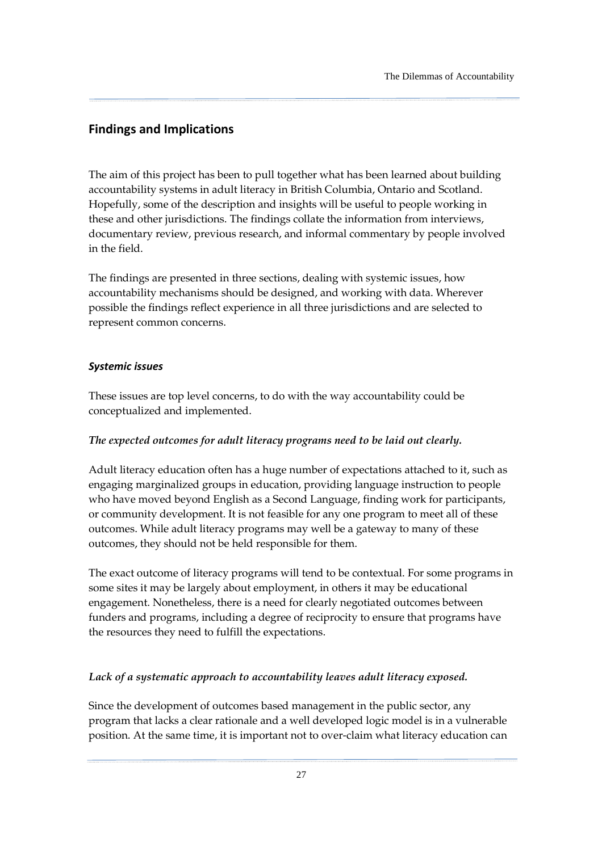### <span id="page-32-0"></span>Findings and Implications

The aim of this project has been to pull together what has been learned about building accountability systems in adult literacy in British Columbia, Ontario and Scotland. Hopefully, some of the description and insights will be useful to people working in these and other jurisdictions. The findings collate the information from interviews, documentary review, previous research, and informal commentary by people involved in the field.

The findings are presented in three sections, dealing with systemic issues, how accountability mechanisms should be designed, and working with data. Wherever possible the findings reflect experience in all three jurisdictions and are selected to represent common concerns.

### Systemic issues

These issues are top level concerns, to do with the way accountability could be conceptualized and implemented.

### The expected outcomes for adult literacy programs need to be laid out clearly.

Adult literacy education often has a huge number of expectations attached to it, such as engaging marginalized groups in education, providing language instruction to people who have moved beyond English as a Second Language, finding work for participants, or community development. It is not feasible for any one program to meet all of these outcomes. While adult literacy programs may well be a gateway to many of these outcomes, they should not be held responsible for them.

The exact outcome of literacy programs will tend to be contextual. For some programs in some sites it may be largely about employment, in others it may be educational engagement. Nonetheless, there is a need for clearly negotiated outcomes between funders and programs, including a degree of reciprocity to ensure that programs have the resources they need to fulfill the expectations.

### Lack of a systematic approach to accountability leaves adult literacy exposed.

Since the development of outcomes based management in the public sector, any program that lacks a clear rationale and a well developed logic model is in a vulnerable position. At the same time, it is important not to over-claim what literacy education can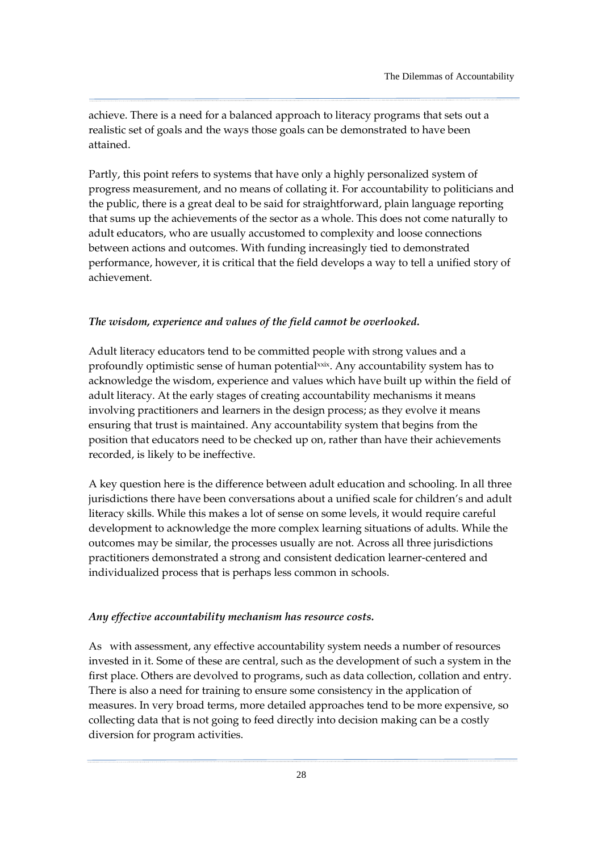achieve. There is a need for a balanced approach to literacy programs that sets out a realistic set of goals and the ways those goals can be demonstrated to have been attained.

Partly, this point refers to systems that have only a highly personalized system of progress measurement, and no means of collating it. For accountability to politicians and the public, there is a great deal to be said for straightforward, plain language reporting that sums up the achievements of the sector as a whole. This does not come naturally to adult educators, who are usually accustomed to complexity and loose connections between actions and outcomes. With funding increasingly tied to demonstrated performance, however, it is critical that the field develops a way to tell a unified story of achievement.

### The wisdom, experience and values of the field cannot be overlooked.

Adult literacy educators tend to be committed people with strong values and a profoundly optimistic sense of human potentialxxix. Any accountability system has to acknowledge the wisdom, experience and values which have built up within the field of adult literacy. At the early stages of creating accountability mechanisms it means involving practitioners and learners in the design process; as they evolve it means ensuring that trust is maintained. Any accountability system that begins from the position that educators need to be checked up on, rather than have their achievements recorded, is likely to be ineffective.

A key question here is the difference between adult education and schooling. In all three jurisdictions there have been conversations about a unified scale for children's and adult literacy skills. While this makes a lot of sense on some levels, it would require careful development to acknowledge the more complex learning situations of adults. While the outcomes may be similar, the processes usually are not. Across all three jurisdictions practitioners demonstrated a strong and consistent dedication learner-centered and individualized process that is perhaps less common in schools.

#### Any effective accountability mechanism has resource costs.

As with assessment, any effective accountability system needs a number of resources invested in it. Some of these are central, such as the development of such a system in the first place. Others are devolved to programs, such as data collection, collation and entry. There is also a need for training to ensure some consistency in the application of measures. In very broad terms, more detailed approaches tend to be more expensive, so collecting data that is not going to feed directly into decision making can be a costly diversion for program activities.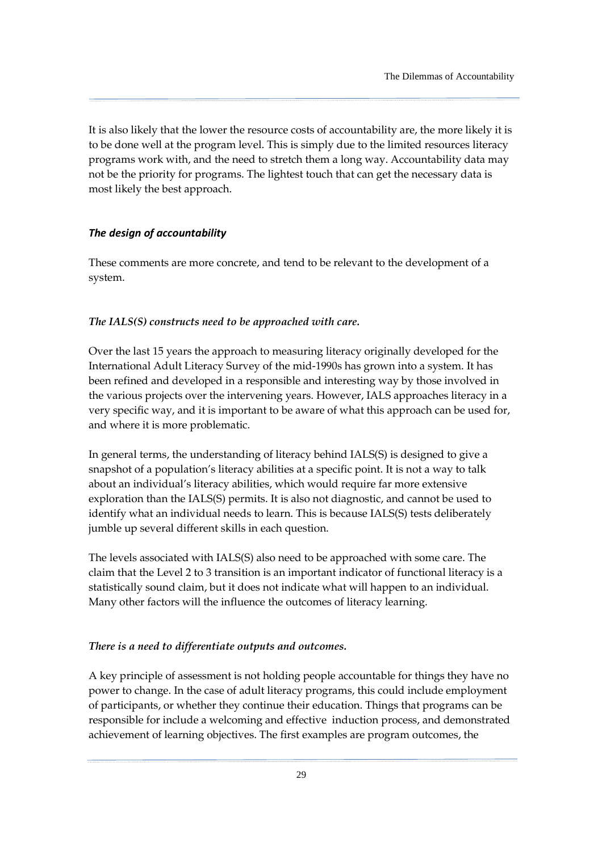<span id="page-34-0"></span>It is also likely that the lower the resource costs of accountability are, the more likely it is to be done well at the program level. This is simply due to the limited resources literacy programs work with, and the need to stretch them a long way. Accountability data may not be the priority for programs. The lightest touch that can get the necessary data is most likely the best approach.

### The design of accountability

These comments are more concrete, and tend to be relevant to the development of a system.

#### The IALS(S) constructs need to be approached with care.

Over the last 15 years the approach to measuring literacy originally developed for the International Adult Literacy Survey of the mid-1990s has grown into a system. It has been refined and developed in a responsible and interesting way by those involved in the various projects over the intervening years. However, IALS approaches literacy in a very specific way, and it is important to be aware of what this approach can be used for, and where it is more problematic.

In general terms, the understanding of literacy behind IALS(S) is designed to give a snapshot of a population's literacy abilities at a specific point. It is not a way to talk about an individual's literacy abilities, which would require far more extensive exploration than the IALS(S) permits. It is also not diagnostic, and cannot be used to identify what an individual needs to learn. This is because IALS(S) tests deliberately jumble up several different skills in each question.

The levels associated with IALS(S) also need to be approached with some care. The claim that the Level 2 to 3 transition is an important indicator of functional literacy is a statistically sound claim, but it does not indicate what will happen to an individual. Many other factors will the influence the outcomes of literacy learning.

#### There is a need to differentiate outputs and outcomes.

A key principle of assessment is not holding people accountable for things they have no power to change. In the case of adult literacy programs, this could include employment of participants, or whether they continue their education. Things that programs can be responsible for include a welcoming and effective induction process, and demonstrated achievement of learning objectives. The first examples are program outcomes, the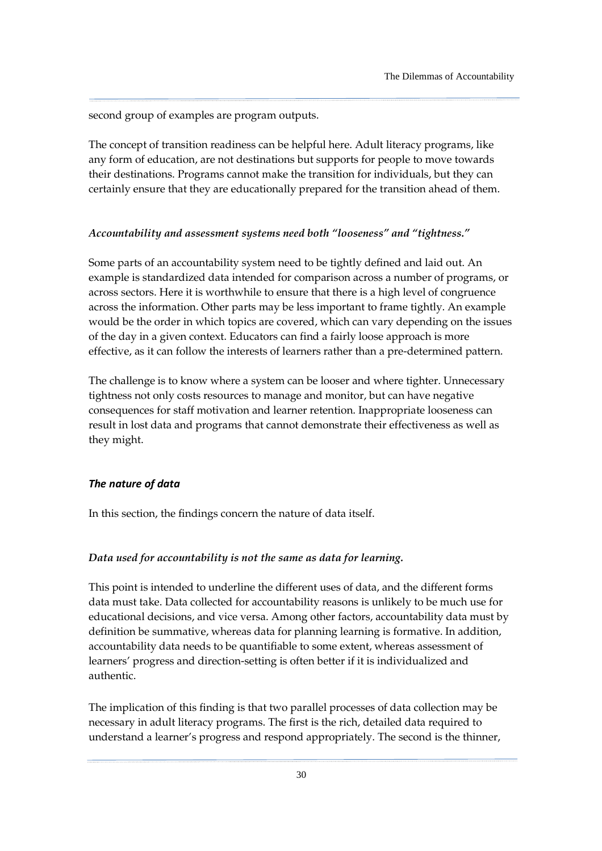<span id="page-35-0"></span>second group of examples are program outputs.

The concept of transition readiness can be helpful here. Adult literacy programs, like any form of education, are not destinations but supports for people to move towards their destinations. Programs cannot make the transition for individuals, but they can certainly ensure that they are educationally prepared for the transition ahead of them.

#### Accountability and assessment systems need both "looseness" and "tightness."

Some parts of an accountability system need to be tightly defined and laid out. An example is standardized data intended for comparison across a number of programs, or across sectors. Here it is worthwhile to ensure that there is a high level of congruence across the information. Other parts may be less important to frame tightly. An example would be the order in which topics are covered, which can vary depending on the issues of the day in a given context. Educators can find a fairly loose approach is more effective, as it can follow the interests of learners rather than a pre-determined pattern.

The challenge is to know where a system can be looser and where tighter. Unnecessary tightness not only costs resources to manage and monitor, but can have negative consequences for staff motivation and learner retention. Inappropriate looseness can result in lost data and programs that cannot demonstrate their effectiveness as well as they might.

### The nature of data

In this section, the findings concern the nature of data itself.

### Data used for accountability is not the same as data for learning.

This point is intended to underline the different uses of data, and the different forms data must take. Data collected for accountability reasons is unlikely to be much use for educational decisions, and vice versa. Among other factors, accountability data must by definition be summative, whereas data for planning learning is formative. In addition, accountability data needs to be quantifiable to some extent, whereas assessment of learners' progress and direction-setting is often better if it is individualized and authentic.

The implication of this finding is that two parallel processes of data collection may be necessary in adult literacy programs. The first is the rich, detailed data required to understand a learner's progress and respond appropriately. The second is the thinner,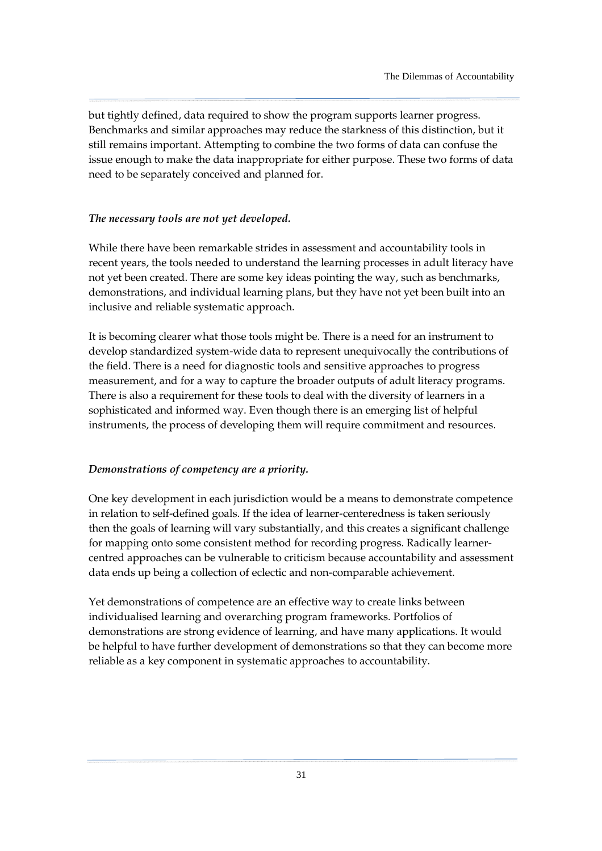but tightly defined, data required to show the program supports learner progress. Benchmarks and similar approaches may reduce the starkness of this distinction, but it still remains important. Attempting to combine the two forms of data can confuse the issue enough to make the data inappropriate for either purpose. These two forms of data need to be separately conceived and planned for.

#### The necessary tools are not yet developed.

While there have been remarkable strides in assessment and accountability tools in recent years, the tools needed to understand the learning processes in adult literacy have not yet been created. There are some key ideas pointing the way, such as benchmarks, demonstrations, and individual learning plans, but they have not yet been built into an inclusive and reliable systematic approach.

It is becoming clearer what those tools might be. There is a need for an instrument to develop standardized system-wide data to represent unequivocally the contributions of the field. There is a need for diagnostic tools and sensitive approaches to progress measurement, and for a way to capture the broader outputs of adult literacy programs. There is also a requirement for these tools to deal with the diversity of learners in a sophisticated and informed way. Even though there is an emerging list of helpful instruments, the process of developing them will require commitment and resources.

### Demonstrations of competency are a priority.

One key development in each jurisdiction would be a means to demonstrate competence in relation to self-defined goals. If the idea of learner-centeredness is taken seriously then the goals of learning will vary substantially, and this creates a significant challenge for mapping onto some consistent method for recording progress. Radically learnercentred approaches can be vulnerable to criticism because accountability and assessment data ends up being a collection of eclectic and non-comparable achievement.

Yet demonstrations of competence are an effective way to create links between individualised learning and overarching program frameworks. Portfolios of demonstrations are strong evidence of learning, and have many applications. It would be helpful to have further development of demonstrations so that they can become more reliable as a key component in systematic approaches to accountability.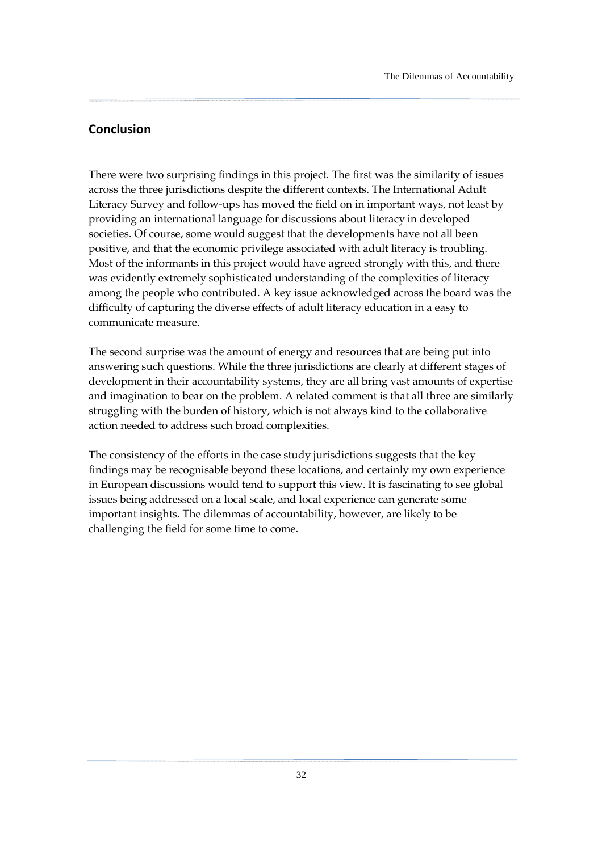### <span id="page-37-0"></span>Conclusion

There were two surprising findings in this project. The first was the similarity of issues across the three jurisdictions despite the different contexts. The International Adult Literacy Survey and follow-ups has moved the field on in important ways, not least by providing an international language for discussions about literacy in developed societies. Of course, some would suggest that the developments have not all been positive, and that the economic privilege associated with adult literacy is troubling. Most of the informants in this project would have agreed strongly with this, and there was evidently extremely sophisticated understanding of the complexities of literacy among the people who contributed. A key issue acknowledged across the board was the difficulty of capturing the diverse effects of adult literacy education in a easy to communicate measure.

The second surprise was the amount of energy and resources that are being put into answering such questions. While the three jurisdictions are clearly at different stages of development in their accountability systems, they are all bring vast amounts of expertise and imagination to bear on the problem. A related comment is that all three are similarly struggling with the burden of history, which is not always kind to the collaborative action needed to address such broad complexities.

The consistency of the efforts in the case study jurisdictions suggests that the key findings may be recognisable beyond these locations, and certainly my own experience in European discussions would tend to support this view. It is fascinating to see global issues being addressed on a local scale, and local experience can generate some important insights. The dilemmas of accountability, however, are likely to be challenging the field for some time to come.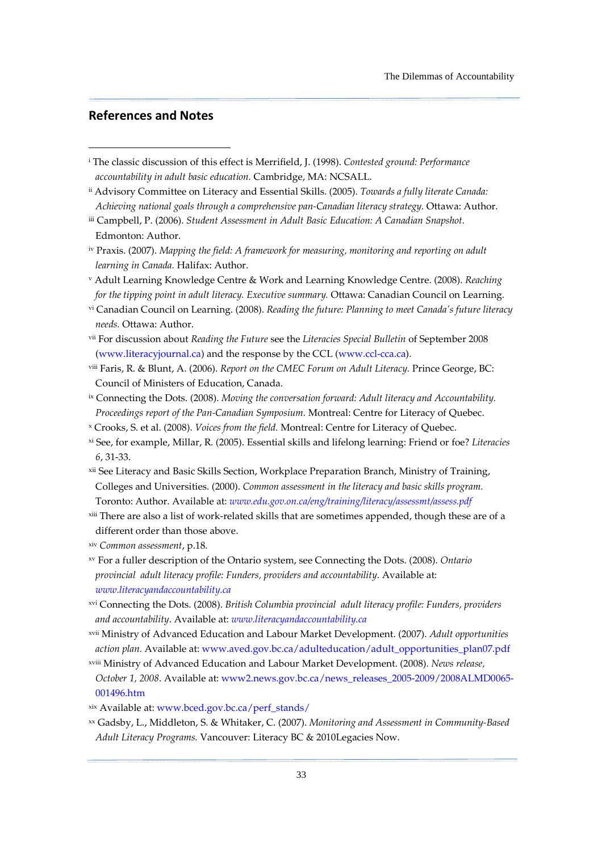### <span id="page-38-0"></span>References and Notes

-

- i The classic discussion of this effect is Merrifield, J. (1998). Contested ground: Performance accountability in adult basic education. Cambridge, MA: NCSALL.
- ii Advisory Committee on Literacy and Essential Skills. (2005). Towards a fully literate Canada: Achieving national goals through a comprehensive pan-Canadian literacy strategy. Ottawa: Author.
- iii Campbell, P. (2006). Student Assessment in Adult Basic Education: A Canadian Snapshot. Edmonton: Author.
- iv Praxis. (2007). Mapping the field: A framework for measuring, monitoring and reporting on adult learning in Canada. Halifax: Author.
- <sup>v</sup> Adult Learning Knowledge Centre & Work and Learning Knowledge Centre. (2008). Reaching for the tipping point in adult literacy. Executive summary. Ottawa: Canadian Council on Learning.
- vi Canadian Council on Learning. (2008). Reading the future: Planning to meet Canada's future literacy needs. Ottawa: Author.
- vii For discussion about Reading the Future see the Literacies Special Bulletin of September 2008 (www.literacyjournal.ca) and the response by the CCL (www.ccl-cca.ca).
- viii Faris, R. & Blunt, A. (2006). Report on the CMEC Forum on Adult Literacy. Prince George, BC: Council of Ministers of Education, Canada.
- <sup>ix</sup> Connecting the Dots. (2008). Moving the conversation forward: Adult literacy and Accountability. Proceedings report of the Pan-Canadian Symposium. Montreal: Centre for Literacy of Quebec.
- x Crooks, S. et al. (2008). Voices from the field. Montreal: Centre for Literacy of Quebec.
- xi See, for example, Millar, R. (2005). Essential skills and lifelong learning: Friend or foe? Literacies 6, 31-33.
- xii See Literacy and Basic Skills Section, Workplace Preparation Branch, Ministry of Training, Colleges and Universities. (2000). Common assessment in the literacy and basic skills program. Toronto: Author. Available at: www.edu.gov.on.ca/eng/training/literacy/assessmt/assess.pdf
- xiii There are also a list of work-related skills that are sometimes appended, though these are of a different order than those above.
- xiv Common assessment, p.18.
- xv For a fuller description of the Ontario system, see Connecting the Dots. (2008). Ontario provincial adult literacy profile: Funders, providers and accountability. Available at: www.literacyandaccountability.ca
- xvi Connecting the Dots. (2008). British Columbia provincial adult literacy profile: Funders, providers and accountability. Available at: www.literacyandaccountability.ca
- xvii Ministry of Advanced Education and Labour Market Development. (2007). Adult opportunities action plan. Available at: www.aved.gov.bc.ca/adulteducation/adult\_opportunities\_plan07.pdf
- xviii Ministry of Advanced Education and Labour Market Development. (2008). News release, October 1, 2008. Available at: www2.news.gov.bc.ca/news\_releases\_2005-2009/2008ALMD0065- 001496.htm
- xix Available at: www.bced.gov.bc.ca/perf\_stands/
- xx Gadsby, L., Middleton, S. & Whitaker, C. (2007). Monitoring and Assessment in Community-Based Adult Literacy Programs. Vancouver: Literacy BC & 2010Legacies Now.